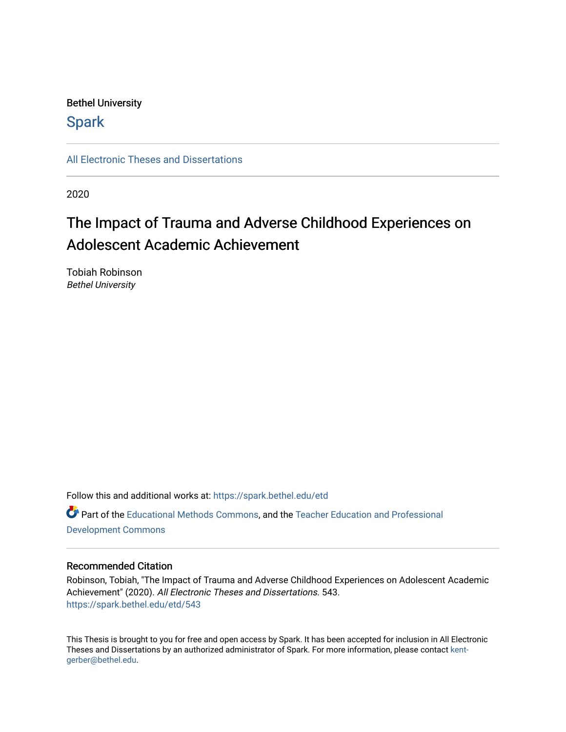# Bethel University

# **Spark**

[All Electronic Theses and Dissertations](https://spark.bethel.edu/etd) 

2020

# The Impact of Trauma and Adverse Childhood Experiences on Adolescent Academic Achievement

Tobiah Robinson Bethel University

Follow this and additional works at: [https://spark.bethel.edu/etd](https://spark.bethel.edu/etd?utm_source=spark.bethel.edu%2Fetd%2F543&utm_medium=PDF&utm_campaign=PDFCoverPages) Part of the [Educational Methods Commons,](http://network.bepress.com/hgg/discipline/1227?utm_source=spark.bethel.edu%2Fetd%2F543&utm_medium=PDF&utm_campaign=PDFCoverPages) and the [Teacher Education and Professional](http://network.bepress.com/hgg/discipline/803?utm_source=spark.bethel.edu%2Fetd%2F543&utm_medium=PDF&utm_campaign=PDFCoverPages)  [Development Commons](http://network.bepress.com/hgg/discipline/803?utm_source=spark.bethel.edu%2Fetd%2F543&utm_medium=PDF&utm_campaign=PDFCoverPages) 

# Recommended Citation

Robinson, Tobiah, "The Impact of Trauma and Adverse Childhood Experiences on Adolescent Academic Achievement" (2020). All Electronic Theses and Dissertations. 543. [https://spark.bethel.edu/etd/543](https://spark.bethel.edu/etd/543?utm_source=spark.bethel.edu%2Fetd%2F543&utm_medium=PDF&utm_campaign=PDFCoverPages)

This Thesis is brought to you for free and open access by Spark. It has been accepted for inclusion in All Electronic Theses and Dissertations by an authorized administrator of Spark. For more information, please contact [kent](mailto:kent-gerber@bethel.edu)[gerber@bethel.edu.](mailto:kent-gerber@bethel.edu)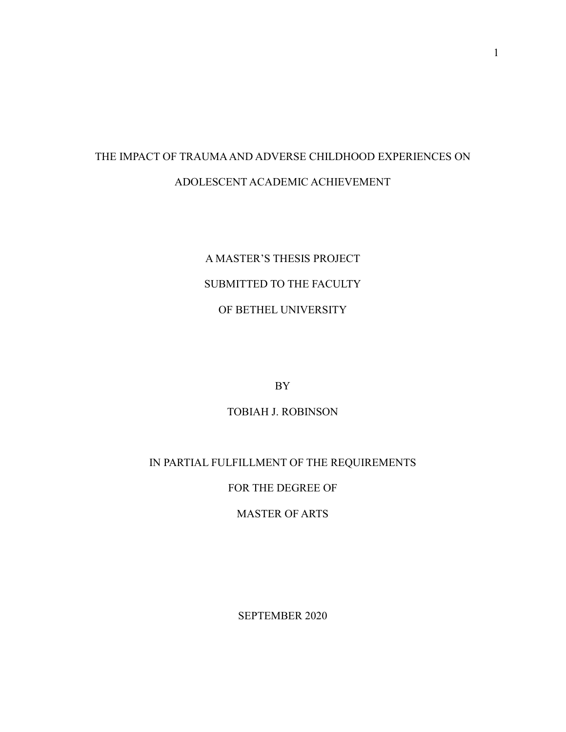# THE IMPACT OF TRAUMA AND ADVERSE CHILDHOOD EXPERIENCES ON ADOLESCENT ACADEMIC ACHIEVEMENT

# A MASTER'S THESIS PROJECT SUBMITTED TO THE FACULTY OF BETHEL UNIVERSITY

BY

# TOBIAH J. ROBINSON

# IN PARTIAL FULFILLMENT OF THE REQUIREMENTS

# FOR THE DEGREE OF

# MASTER OF ARTS

SEPTEMBER 2020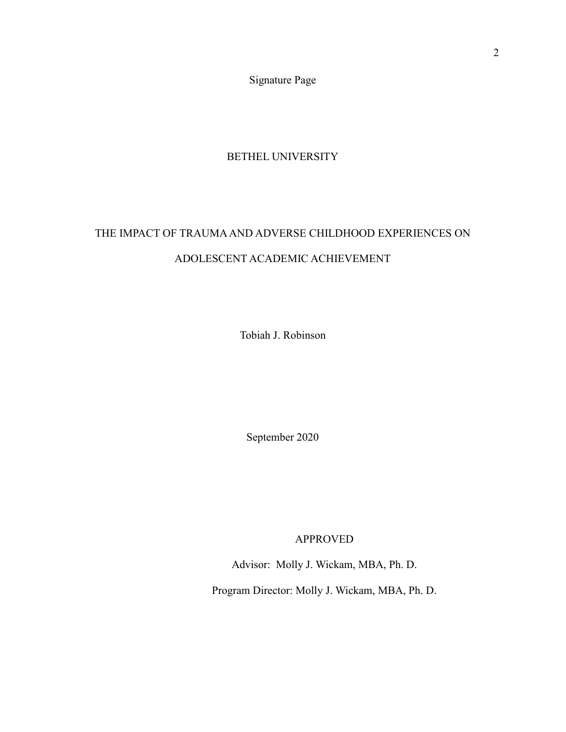Signature Page

# BETHEL UNIVERSITY

# <span id="page-2-0"></span>THE IMPACT OF TRAUMA AND ADVERSE CHILDHOOD EXPERIENCES ON ADOLESCENT ACADEMIC ACHIEVEMENT

Tobiah J. Robinson

September 2020

APPROVED

Advisor: Molly J. Wickam, MBA, Ph. D.

Program Director: Molly J. Wickam, MBA, Ph. D.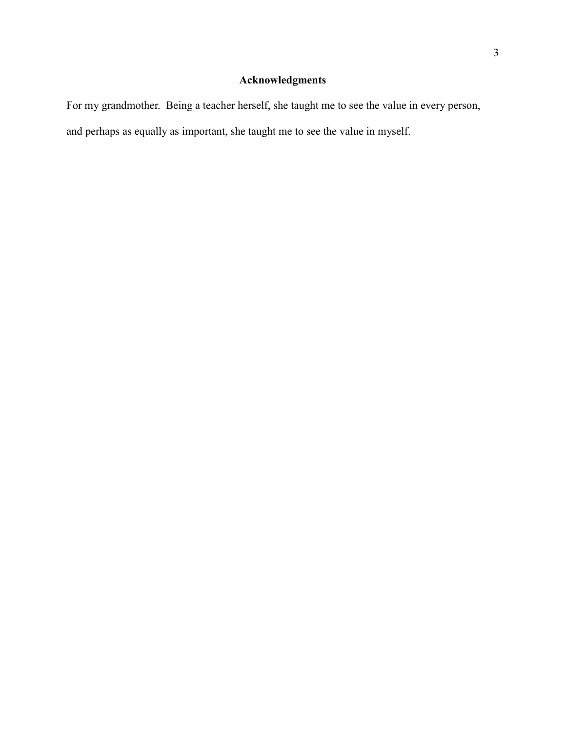# **Acknowledgments**

<span id="page-3-0"></span>For my grandmother. Being a teacher herself, she taught me to see the value in every person, and perhaps as equally as important, she taught me to see the value in myself.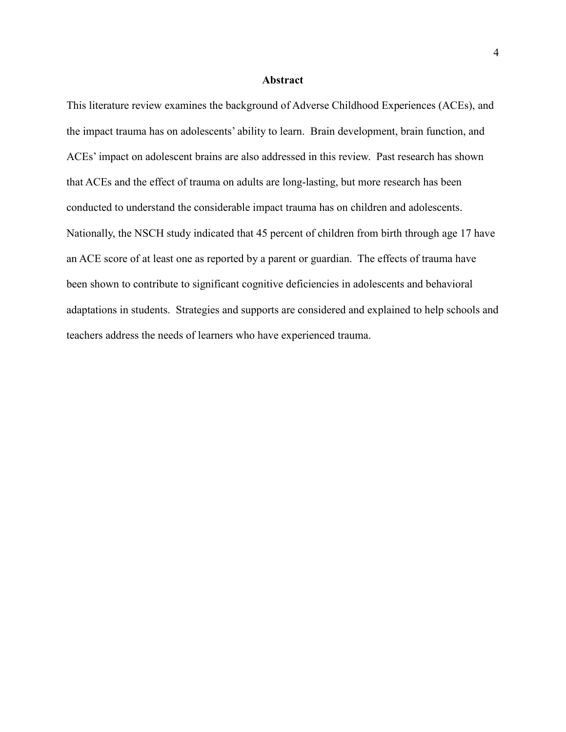#### **Abstract**

This literature review examines the background of Adverse Childhood Experiences (ACEs), and the impact trauma has on adolescents' ability to learn. Brain development, brain function, and ACEs' impact on adolescent brains are also addressed in this review. Past research has shown that ACEs and the effect of trauma on adults are long-lasting, but more research has been conducted to understand the considerable impact trauma has on children and adolescents. Nationally, the NSCH study indicated that 45 percent of children from birth through age 17 have an ACE score of at least one as reported by a parent or guardian. The effects of trauma have been shown to contribute to significant cognitive deficiencies in adolescents and behavioral adaptations in students. Strategies and supports are considered and explained to help schools and teachers address the needs of learners who have experienced trauma.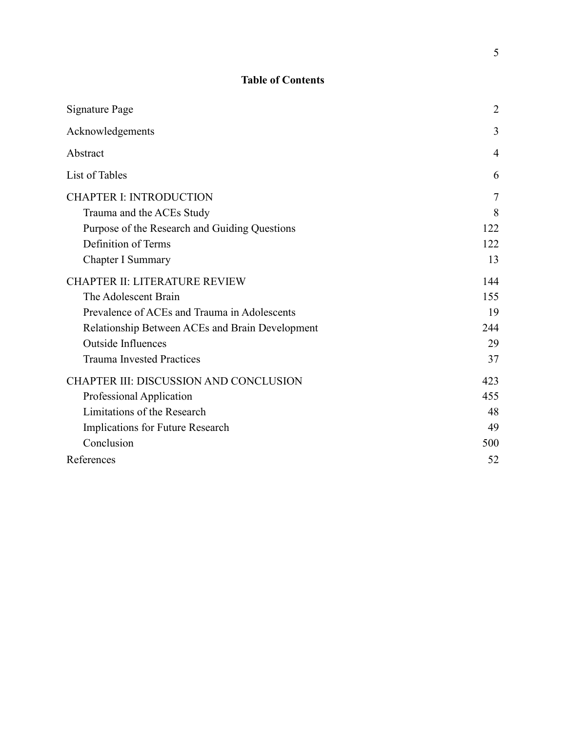# **Table of Contents**

| Signature Page                                  | $\overline{2}$ |
|-------------------------------------------------|----------------|
| Acknowledgements                                | 3              |
| Abstract                                        | $\overline{4}$ |
| List of Tables                                  | 6              |
| <b>CHAPTER I: INTRODUCTION</b>                  | $\overline{7}$ |
| Trauma and the ACEs Study                       | 8              |
| Purpose of the Research and Guiding Questions   | 122            |
| Definition of Terms                             | 122            |
| Chapter I Summary                               | 13             |
| <b>CHAPTER II: LITERATURE REVIEW</b>            | 144            |
| The Adolescent Brain                            | 155            |
| Prevalence of ACEs and Trauma in Adolescents    | 19             |
| Relationship Between ACEs and Brain Development | 244            |
| <b>Outside Influences</b>                       | 29             |
| <b>Trauma Invested Practices</b>                | 37             |
| CHAPTER III: DISCUSSION AND CONCLUSION          | 423            |
| Professional Application                        | 455            |
| Limitations of the Research                     | 48             |
| Implications for Future Research                | 49             |
| Conclusion                                      | 500            |
| References                                      | 52             |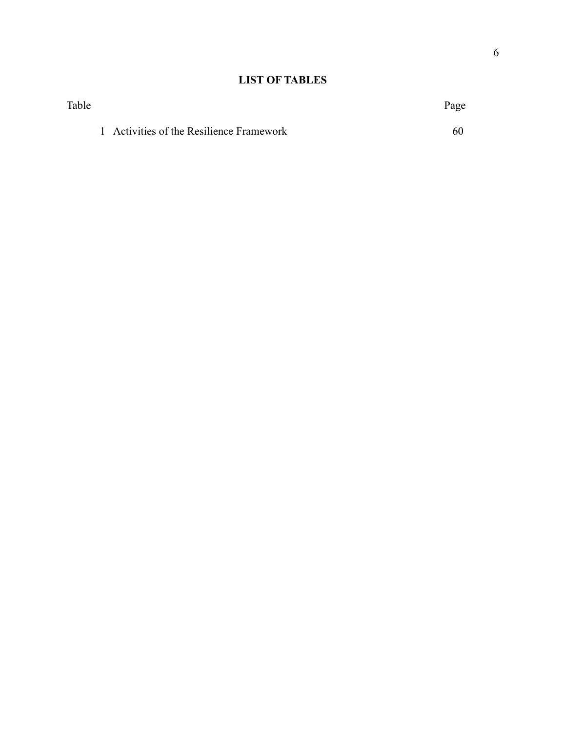# **LIST OF TABLES**

| Table |                                          | Page |
|-------|------------------------------------------|------|
|       | 1 Activities of the Resilience Framework | 60   |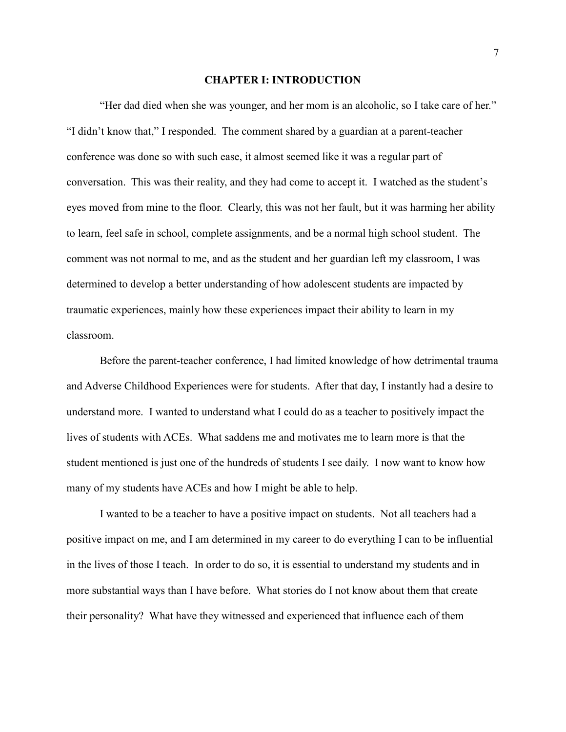#### **CHAPTER I: INTRODUCTION**

"Her dad died when she was younger, and her mom is an alcoholic, so I take care of her." "I didn't know that," I responded. The comment shared by a guardian at a parent-teacher conference was done so with such ease, it almost seemed like it was a regular part of conversation. This was their reality, and they had come to accept it. I watched as the student's eyes moved from mine to the floor. Clearly, this was not her fault, but it was harming her ability to learn, feel safe in school, complete assignments, and be a normal high school student. The comment was not normal to me, and as the student and her guardian left my classroom, I was determined to develop a better understanding of how adolescent students are impacted by traumatic experiences, mainly how these experiences impact their ability to learn in my classroom.

Before the parent-teacher conference, I had limited knowledge of how detrimental trauma and Adverse Childhood Experiences were for students. After that day, I instantly had a desire to understand more. I wanted to understand what I could do as a teacher to positively impact the lives of students with ACEs. What saddens me and motivates me to learn more is that the student mentioned is just one of the hundreds of students I see daily. I now want to know how many of my students have ACEs and how I might be able to help.

I wanted to be a teacher to have a positive impact on students. Not all teachers had a positive impact on me, and I am determined in my career to do everything I can to be influential in the lives of those I teach. In order to do so, it is essential to understand my students and in more substantial ways than I have before. What stories do I not know about them that create their personality? What have they witnessed and experienced that influence each of them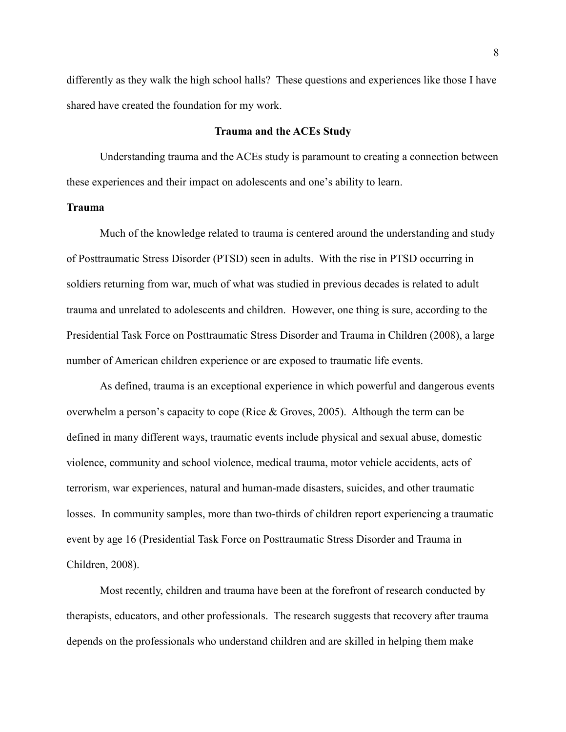differently as they walk the high school halls? These questions and experiences like those I have shared have created the foundation for my work.

#### **Trauma and the ACEs Study**

<span id="page-8-0"></span>Understanding trauma and the ACEs study is paramount to creating a connection between these experiences and their impact on adolescents and one's ability to learn.

## **Trauma**

Much of the knowledge related to trauma is centered around the understanding and study of Posttraumatic Stress Disorder (PTSD) seen in adults. With the rise in PTSD occurring in soldiers returning from war, much of what was studied in previous decades is related to adult trauma and unrelated to adolescents and children. However, one thing is sure, according to the Presidential Task Force on Posttraumatic Stress Disorder and Trauma in Children (2008), a large number of American children experience or are exposed to traumatic life events.

As defined, trauma is an exceptional experience in which powerful and dangerous events overwhelm a person's capacity to cope (Rice & Groves, 2005). Although the term can be defined in many different ways, traumatic events include physical and sexual abuse, domestic violence, community and school violence, medical trauma, motor vehicle accidents, acts of terrorism, war experiences, natural and human-made disasters, suicides, and other traumatic losses. In community samples, more than two-thirds of children report experiencing a traumatic event by age 16 (Presidential Task Force on Posttraumatic Stress Disorder and Trauma in Children, 2008).

Most recently, children and trauma have been at the forefront of research conducted by therapists, educators, and other professionals. The research suggests that recovery after trauma depends on the professionals who understand children and are skilled in helping them make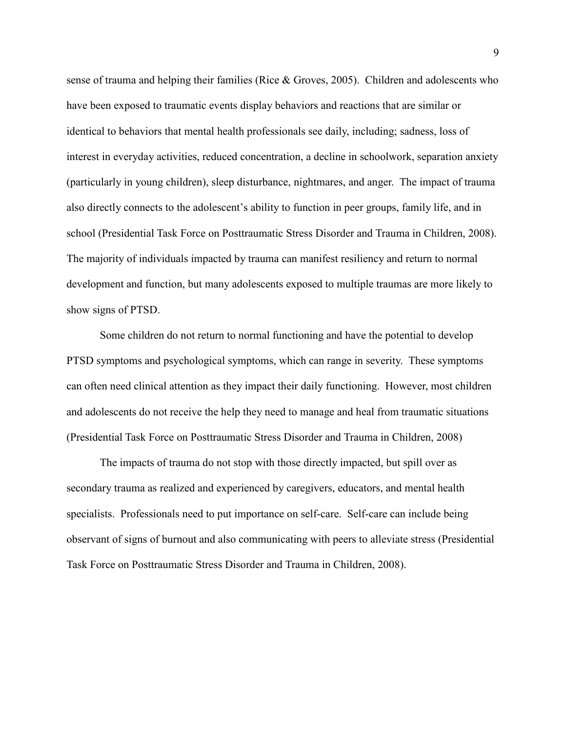sense of trauma and helping their families (Rice & Groves, 2005). Children and adolescents who have been exposed to traumatic events display behaviors and reactions that are similar or identical to behaviors that mental health professionals see daily, including; sadness, loss of interest in everyday activities, reduced concentration, a decline in schoolwork, separation anxiety (particularly in young children), sleep disturbance, nightmares, and anger. The impact of trauma also directly connects to the adolescent's ability to function in peer groups, family life, and in school (Presidential Task Force on Posttraumatic Stress Disorder and Trauma in Children, 2008). The majority of individuals impacted by trauma can manifest resiliency and return to normal development and function, but many adolescents exposed to multiple traumas are more likely to show signs of PTSD.

Some children do not return to normal functioning and have the potential to develop PTSD symptoms and psychological symptoms, which can range in severity. These symptoms can often need clinical attention as they impact their daily functioning. However, most children and adolescents do not receive the help they need to manage and heal from traumatic situations (Presidential Task Force on Posttraumatic Stress Disorder and Trauma in Children, 2008)

The impacts of trauma do not stop with those directly impacted, but spill over as secondary trauma as realized and experienced by caregivers, educators, and mental health specialists. Professionals need to put importance on self-care. Self-care can include being observant of signs of burnout and also communicating with peers to alleviate stress (Presidential Task Force on Posttraumatic Stress Disorder and Trauma in Children, 2008).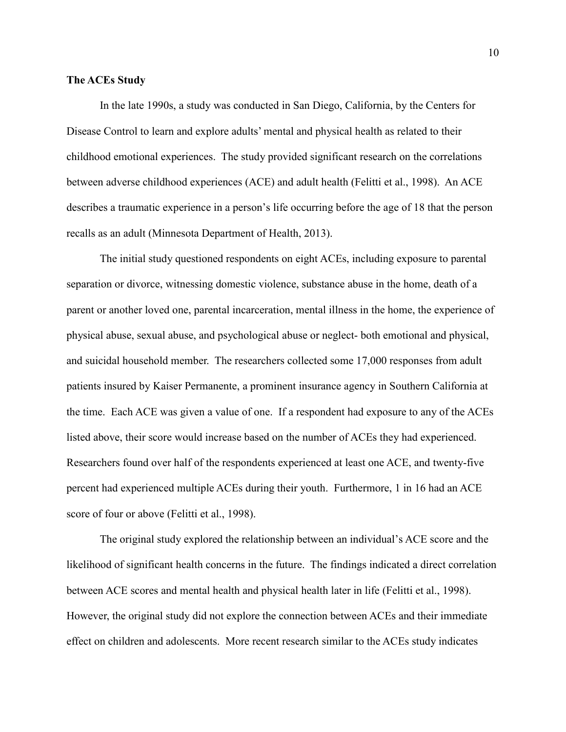#### **The ACEs Study**

In the late 1990s, a study was conducted in San Diego, California, by the Centers for Disease Control to learn and explore adults' mental and physical health as related to their childhood emotional experiences. The study provided significant research on the correlations between adverse childhood experiences (ACE) and adult health (Felitti et al., 1998). An ACE describes a traumatic experience in a person's life occurring before the age of 18 that the person recalls as an adult (Minnesota Department of Health, 2013).

The initial study questioned respondents on eight ACEs, including exposure to parental separation or divorce, witnessing domestic violence, substance abuse in the home, death of a parent or another loved one, parental incarceration, mental illness in the home, the experience of physical abuse, sexual abuse, and psychological abuse or neglect- both emotional and physical, and suicidal household member. The researchers collected some 17,000 responses from adult patients insured by Kaiser Permanente, a prominent insurance agency in Southern California at the time. Each ACE was given a value of one. If a respondent had exposure to any of the ACEs listed above, their score would increase based on the number of ACEs they had experienced. Researchers found over half of the respondents experienced at least one ACE, and twenty-five percent had experienced multiple ACEs during their youth. Furthermore, 1 in 16 had an ACE score of four or above (Felitti et al., 1998).

The original study explored the relationship between an individual's ACE score and the likelihood of significant health concerns in the future. The findings indicated a direct correlation between ACE scores and mental health and physical health later in life (Felitti et al., 1998). However, the original study did not explore the connection between ACEs and their immediate effect on children and adolescents. More recent research similar to the ACEs study indicates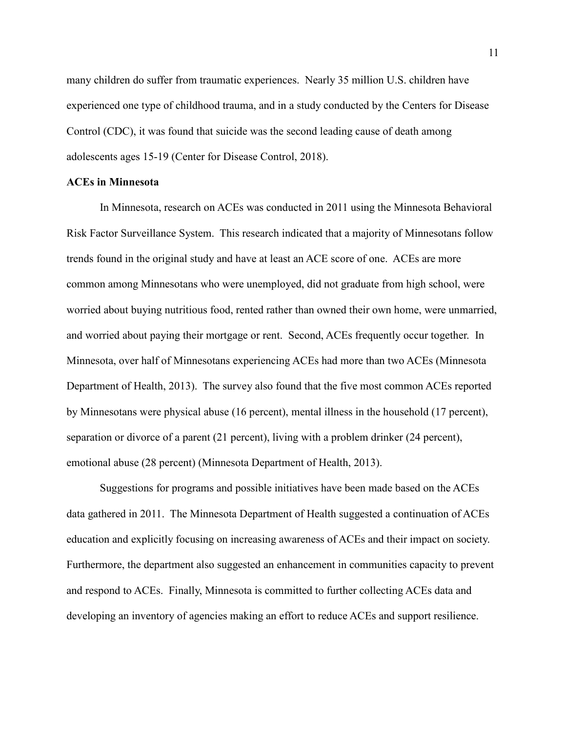many children do suffer from traumatic experiences. Nearly 35 million U.S. children have experienced one type of childhood trauma, and in a study conducted by the Centers for Disease Control (CDC), it was found that suicide was the second leading cause of death among adolescents ages 15-19 (Center for Disease Control, 2018).

## **ACEs in Minnesota**

In Minnesota, research on ACEs was conducted in 2011 using the Minnesota Behavioral Risk Factor Surveillance System. This research indicated that a majority of Minnesotans follow trends found in the original study and have at least an ACE score of one. ACEs are more common among Minnesotans who were unemployed, did not graduate from high school, were worried about buying nutritious food, rented rather than owned their own home, were unmarried, and worried about paying their mortgage or rent. Second, ACEs frequently occur together. In Minnesota, over half of Minnesotans experiencing ACEs had more than two ACEs (Minnesota Department of Health, 2013). The survey also found that the five most common ACEs reported by Minnesotans were physical abuse (16 percent), mental illness in the household (17 percent), separation or divorce of a parent (21 percent), living with a problem drinker (24 percent), emotional abuse (28 percent) (Minnesota Department of Health, 2013).

Suggestions for programs and possible initiatives have been made based on the ACEs data gathered in 2011. The Minnesota Department of Health suggested a continuation of ACEs education and explicitly focusing on increasing awareness of ACEs and their impact on society. Furthermore, the department also suggested an enhancement in communities capacity to prevent and respond to ACEs. Finally, Minnesota is committed to further collecting ACEs data and developing an inventory of agencies making an effort to reduce ACEs and support resilience.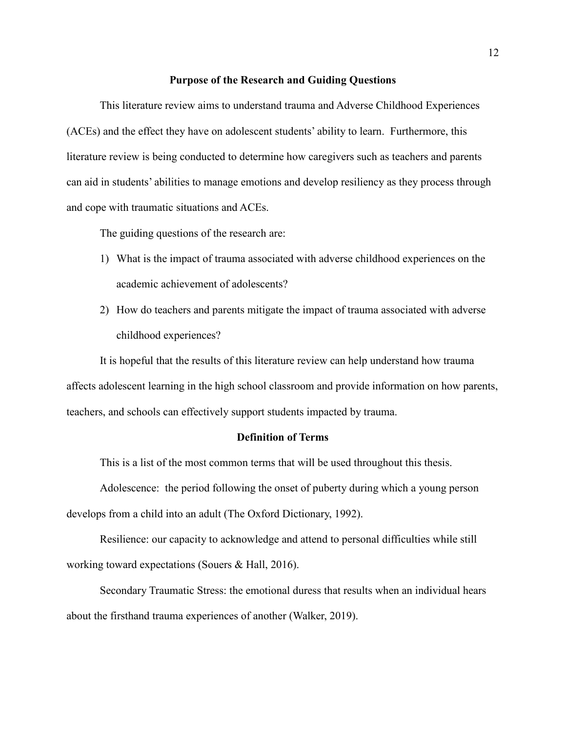#### **Purpose of the Research and Guiding Questions**

<span id="page-12-0"></span>This literature review aims to understand trauma and Adverse Childhood Experiences (ACEs) and the effect they have on adolescent students' ability to learn. Furthermore, this literature review is being conducted to determine how caregivers such as teachers and parents can aid in students' abilities to manage emotions and develop resiliency as they process through and cope with traumatic situations and ACEs.

The guiding questions of the research are:

- 1) What is the impact of trauma associated with adverse childhood experiences on the academic achievement of adolescents?
- 2) How do teachers and parents mitigate the impact of trauma associated with adverse childhood experiences?

It is hopeful that the results of this literature review can help understand how trauma affects adolescent learning in the high school classroom and provide information on how parents, teachers, and schools can effectively support students impacted by trauma.

## **Definition of Terms**

<span id="page-12-1"></span>This is a list of the most common terms that will be used throughout this thesis.

Adolescence: the period following the onset of puberty during which a young person develops from a child into an adult (The Oxford Dictionary, 1992).

Resilience: our capacity to acknowledge and attend to personal difficulties while still working toward expectations (Souers & Hall, 2016).

Secondary Traumatic Stress: the emotional duress that results when an individual hears about the firsthand trauma experiences of another (Walker, 2019).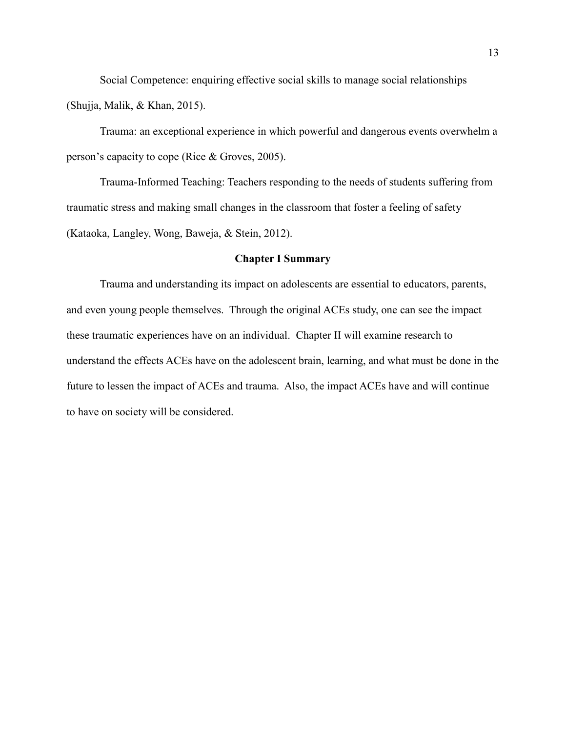Social Competence: enquiring effective social skills to manage social relationships (Shujja, Malik, & Khan, 2015).

Trauma: an exceptional experience in which powerful and dangerous events overwhelm a person's capacity to cope (Rice & Groves, 2005).

Trauma-Informed Teaching: Teachers responding to the needs of students suffering from traumatic stress and making small changes in the classroom that foster a feeling of safety (Kataoka, Langley, Wong, Baweja, & Stein, 2012).

## **Chapter I Summary**

 Trauma and understanding its impact on adolescents are essential to educators, parents, and even young people themselves. Through the original ACEs study, one can see the impact these traumatic experiences have on an individual. Chapter II will examine research to understand the effects ACEs have on the adolescent brain, learning, and what must be done in the future to lessen the impact of ACEs and trauma. Also, the impact ACEs have and will continue to have on society will be considered.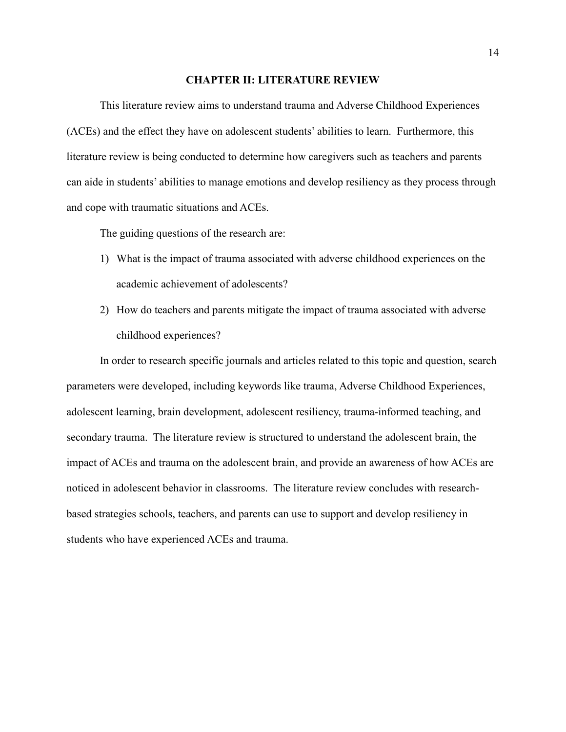#### **CHAPTER II: LITERATURE REVIEW**

<span id="page-14-0"></span>This literature review aims to understand trauma and Adverse Childhood Experiences (ACEs) and the effect they have on adolescent students' abilities to learn. Furthermore, this literature review is being conducted to determine how caregivers such as teachers and parents can aide in students' abilities to manage emotions and develop resiliency as they process through and cope with traumatic situations and ACEs.

The guiding questions of the research are:

- 1) What is the impact of trauma associated with adverse childhood experiences on the academic achievement of adolescents?
- 2) How do teachers and parents mitigate the impact of trauma associated with adverse childhood experiences?

In order to research specific journals and articles related to this topic and question, search parameters were developed, including keywords like trauma, Adverse Childhood Experiences, adolescent learning, brain development, adolescent resiliency, trauma-informed teaching, and secondary trauma. The literature review is structured to understand the adolescent brain, the impact of ACEs and trauma on the adolescent brain, and provide an awareness of how ACEs are noticed in adolescent behavior in classrooms. The literature review concludes with researchbased strategies schools, teachers, and parents can use to support and develop resiliency in students who have experienced ACEs and trauma.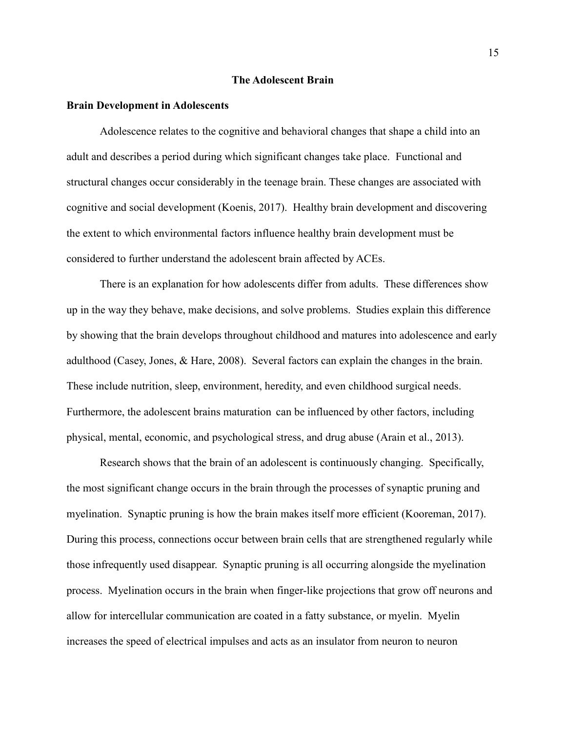#### **The Adolescent Brain**

#### <span id="page-15-0"></span>**Brain Development in Adolescents**

Adolescence relates to the cognitive and behavioral changes that shape a child into an adult and describes a period during which significant changes take place. Functional and structural changes occur considerably in the teenage brain. These changes are associated with cognitive and social development (Koenis, 2017). Healthy brain development and discovering the extent to which environmental factors influence healthy brain development must be considered to further understand the adolescent brain affected by ACEs.

There is an explanation for how adolescents differ from adults. These differences show up in the way they behave, make decisions, and solve problems. Studies explain this difference by showing that the brain develops throughout childhood and matures into adolescence and early adulthood (Casey, Jones, & Hare, 2008). Several factors can explain the changes in the brain. These include nutrition, sleep, environment, heredity, and even childhood surgical needs. Furthermore, the adolescent brains maturation can be influenced by other factors, including physical, mental, economic, and psychological stress, and drug abuse (Arain et al., 2013).

Research shows that the brain of an adolescent is continuously changing. Specifically, the most significant change occurs in the brain through the processes of synaptic pruning and myelination. Synaptic pruning is how the brain makes itself more efficient (Kooreman, 2017). During this process, connections occur between brain cells that are strengthened regularly while those infrequently used disappear. Synaptic pruning is all occurring alongside the myelination process. Myelination occurs in the brain when finger-like projections that grow off neurons and allow for intercellular communication are coated in a fatty substance, or myelin. Myelin increases the speed of electrical impulses and acts as an insulator from neuron to neuron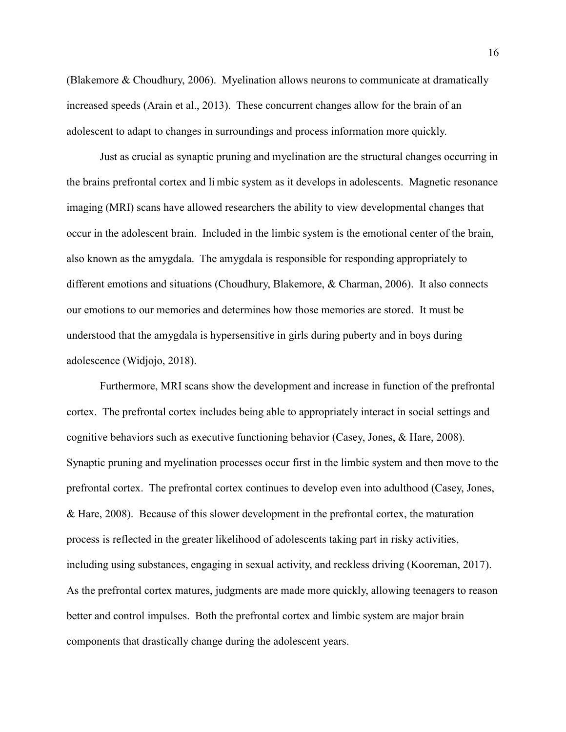(Blakemore & Choudhury, 2006). Myelination allows neurons to communicate at dramatically increased speeds (Arain et al., 2013). These concurrent changes allow for the brain of an adolescent to adapt to changes in surroundings and process information more quickly.

Just as crucial as synaptic pruning and myelination are the structural changes occurring in the brains prefrontal cortex and li mbic system as it develops in adolescents. Magnetic resonance imaging (MRI) scans have allowed researchers the ability to view developmental changes that occur in the adolescent brain. Included in the limbic system is the emotional center of the brain, also known as the amygdala. The amygdala is responsible for responding appropriately to different emotions and situations (Choudhury, Blakemore, & Charman, 2006). It also connects our emotions to our memories and determines how those memories are stored. It must be understood that the amygdala is hypersensitive in girls during puberty and in boys during adolescence (Widjojo, 2018).

Furthermore, MRI scans show the development and increase in function of the prefrontal cortex. The prefrontal cortex includes being able to appropriately interact in social settings and cognitive behaviors such as executive functioning behavior (Casey, Jones, & Hare, 2008). Synaptic pruning and myelination processes occur first in the limbic system and then move to the prefrontal cortex. The prefrontal cortex continues to develop even into adulthood (Casey, Jones, & Hare, 2008). Because of this slower development in the prefrontal cortex, the maturation process is reflected in the greater likelihood of adolescents taking part in risky activities, including using substances, engaging in sexual activity, and reckless driving (Kooreman, 2017). As the prefrontal cortex matures, judgments are made more quickly, allowing teenagers to reason better and control impulses. Both the prefrontal cortex and limbic system are major brain components that drastically change during the adolescent years.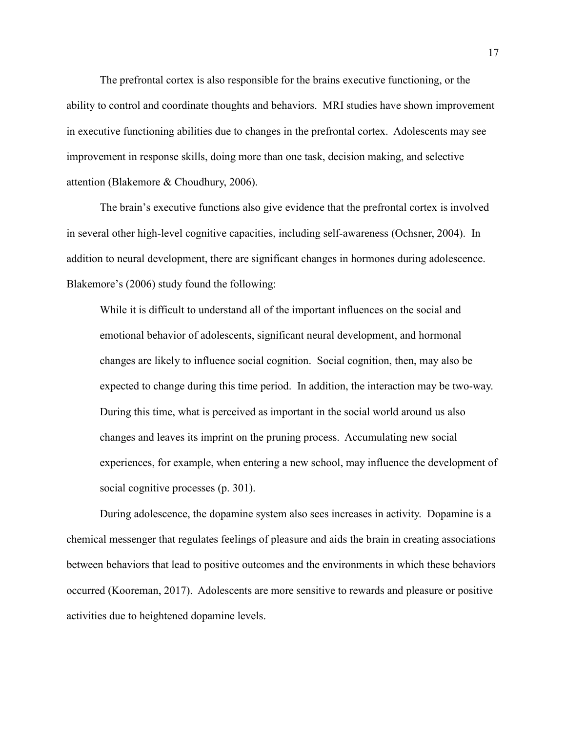The prefrontal cortex is also responsible for the brains executive functioning, or the ability to control and coordinate thoughts and behaviors. MRI studies have shown improvement in executive functioning abilities due to changes in the prefrontal cortex. Adolescents may see improvement in response skills, doing more than one task, decision making, and selective attention (Blakemore & Choudhury, 2006).

The brain's executive functions also give evidence that the prefrontal cortex is involved in several other high-level cognitive capacities, including self-awareness (Ochsner, 2004). In addition to neural development, there are significant changes in hormones during adolescence. Blakemore's (2006) study found the following:

While it is difficult to understand all of the important influences on the social and emotional behavior of adolescents, significant neural development, and hormonal changes are likely to influence social cognition. Social cognition, then, may also be expected to change during this time period. In addition, the interaction may be two-way. During this time, what is perceived as important in the social world around us also changes and leaves its imprint on the pruning process. Accumulating new social experiences, for example, when entering a new school, may influence the development of social cognitive processes (p. 301).

During adolescence, the dopamine system also sees increases in activity. Dopamine is a chemical messenger that regulates feelings of pleasure and aids the brain in creating associations between behaviors that lead to positive outcomes and the environments in which these behaviors occurred (Kooreman, 2017). Adolescents are more sensitive to rewards and pleasure or positive activities due to heightened dopamine levels.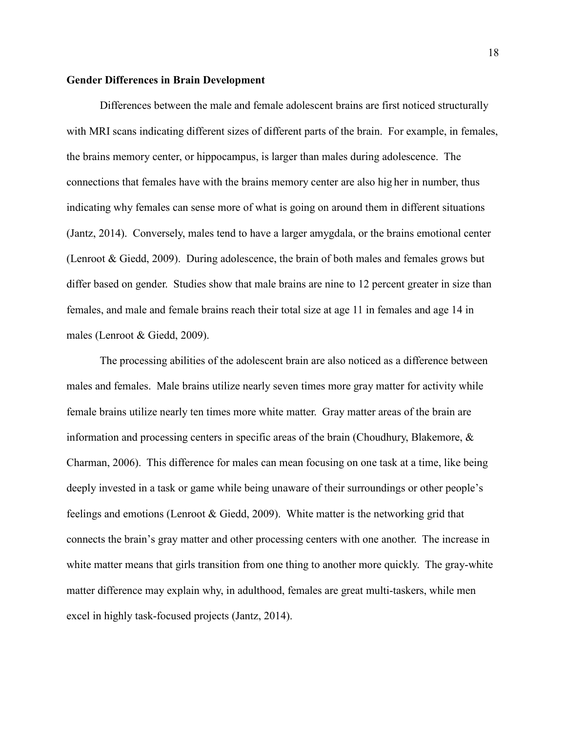#### **Gender Differences in Brain Development**

Differences between the male and female adolescent brains are first noticed structurally with MRI scans indicating different sizes of different parts of the brain. For example, in females, the brains memory center, or hippocampus, is larger than males during adolescence. The connections that females have with the brains memory center are also hig her in number, thus indicating why females can sense more of what is going on around them in different situations (Jantz, 2014). Conversely, males tend to have a larger amygdala, or the brains emotional center (Lenroot & Giedd, 2009). During adolescence, the brain of both males and females grows but differ based on gender. Studies show that male brains are nine to 12 percent greater in size than females, and male and female brains reach their total size at age 11 in females and age 14 in males (Lenroot & Giedd, 2009).

The processing abilities of the adolescent brain are also noticed as a difference between males and females. Male brains utilize nearly seven times more gray matter for activity while female brains utilize nearly ten times more white matter. Gray matter areas of the brain are information and processing centers in specific areas of the brain (Choudhury, Blakemore, & Charman, 2006). This difference for males can mean focusing on one task at a time, like being deeply invested in a task or game while being unaware of their surroundings or other people's feelings and emotions (Lenroot & Giedd, 2009). White matter is the networking grid that connects the brain's gray matter and other processing centers with one another. The increase in white matter means that girls transition from one thing to another more quickly. The gray-white matter difference may explain why, in adulthood, females are great multi-taskers, while men excel in highly task-focused projects (Jantz, 2014).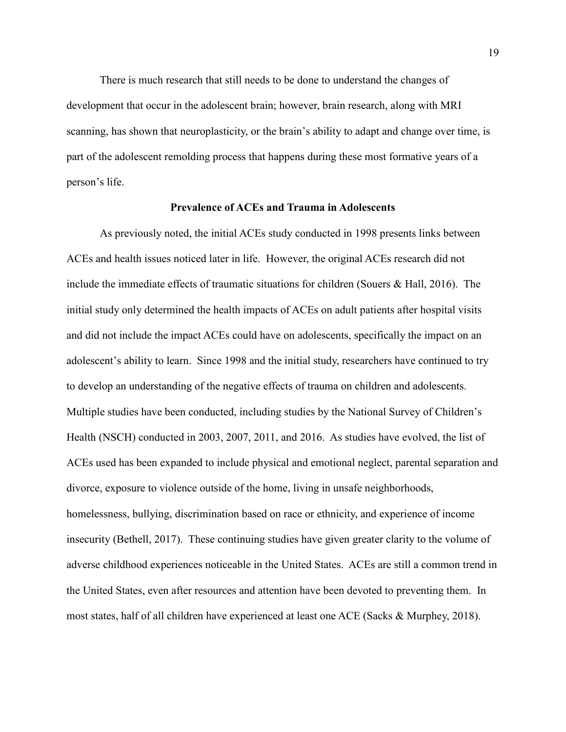There is much research that still needs to be done to understand the changes of development that occur in the adolescent brain; however, brain research, along with MRI scanning, has shown that neuroplasticity, or the brain's ability to adapt and change over time, is part of the adolescent remolding process that happens during these most formative years of a person's life.

### **Prevalence of ACEs and Trauma in Adolescents**

As previously noted, the initial ACEs study conducted in 1998 presents links between ACEs and health issues noticed later in life. However, the original ACEs research did not include the immediate effects of traumatic situations for children (Souers & Hall, 2016). The initial study only determined the health impacts of ACEs on adult patients after hospital visits and did not include the impact ACEs could have on adolescents, specifically the impact on an adolescent's ability to learn. Since 1998 and the initial study, researchers have continued to try to develop an understanding of the negative effects of trauma on children and adolescents. Multiple studies have been conducted, including studies by the National Survey of Children's Health (NSCH) conducted in 2003, 2007, 2011, and 2016. As studies have evolved, the list of ACEs used has been expanded to include physical and emotional neglect, parental separation and divorce, exposure to violence outside of the home, living in unsafe neighborhoods, homelessness, bullying, discrimination based on race or ethnicity, and experience of income insecurity (Bethell, 2017). These continuing studies have given greater clarity to the volume of adverse childhood experiences noticeable in the United States. ACEs are still a common trend in the United States, even after resources and attention have been devoted to preventing them. In most states, half of all children have experienced at least one ACE (Sacks & Murphey, 2018).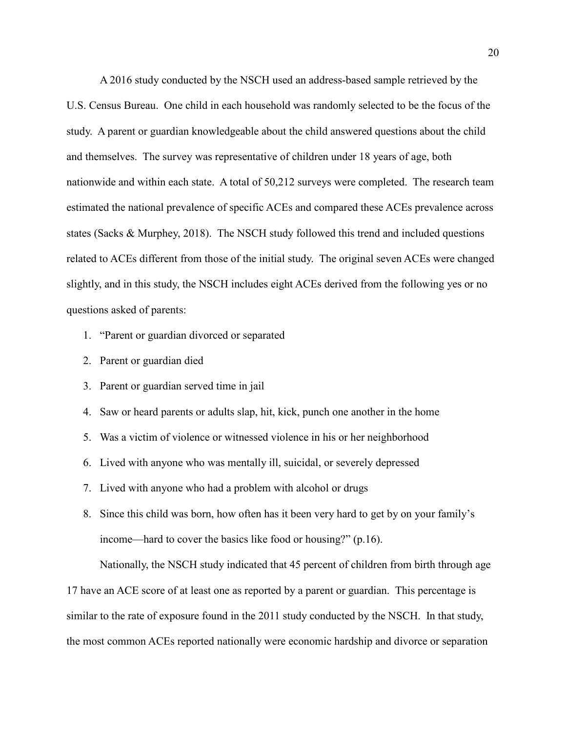A 2016 study conducted by the NSCH used an address-based sample retrieved by the U.S. Census Bureau. One child in each household was randomly selected to be the focus of the study. A parent or guardian knowledgeable about the child answered questions about the child and themselves. The survey was representative of children under 18 years of age, both nationwide and within each state. A total of 50,212 surveys were completed. The research team estimated the national prevalence of specific ACEs and compared these ACEs prevalence across states (Sacks & Murphey, 2018). The NSCH study followed this trend and included questions related to ACEs different from those of the initial study. The original seven ACEs were changed slightly, and in this study, the NSCH includes eight ACEs derived from the following yes or no questions asked of parents:

- 1. "Parent or guardian divorced or separated
- 2. Parent or guardian died
- 3. Parent or guardian served time in jail
- 4. Saw or heard parents or adults slap, hit, kick, punch one another in the home
- 5. Was a victim of violence or witnessed violence in his or her neighborhood
- 6. Lived with anyone who was mentally ill, suicidal, or severely depressed
- 7. Lived with anyone who had a problem with alcohol or drugs
- 8. Since this child was born, how often has it been very hard to get by on your family's income—hard to cover the basics like food or housing?" (p.16).

Nationally, the NSCH study indicated that 45 percent of children from birth through age

17 have an ACE score of at least one as reported by a parent or guardian. This percentage is similar to the rate of exposure found in the 2011 study conducted by the NSCH. In that study, the most common ACEs reported nationally were economic hardship and divorce or separation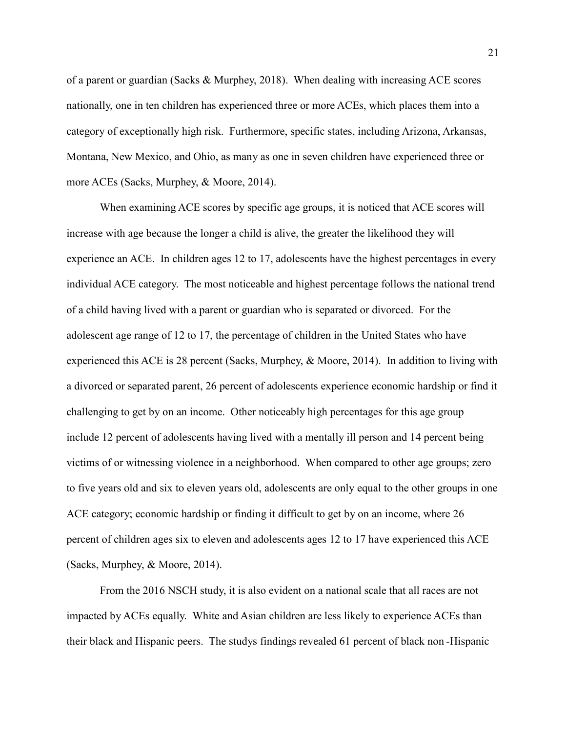of a parent or guardian (Sacks & Murphey, 2018). When dealing with increasing ACE scores nationally, one in ten children has experienced three or more ACEs, which places them into a category of exceptionally high risk. Furthermore, specific states, including Arizona, Arkansas, Montana, New Mexico, and Ohio, as many as one in seven children have experienced three or more ACEs (Sacks, Murphey, & Moore, 2014).

When examining ACE scores by specific age groups, it is noticed that ACE scores will increase with age because the longer a child is alive, the greater the likelihood they will experience an ACE. In children ages 12 to 17, adolescents have the highest percentages in every individual ACE category. The most noticeable and highest percentage follows the national trend of a child having lived with a parent or guardian who is separated or divorced. For the adolescent age range of 12 to 17, the percentage of children in the United States who have experienced this ACE is 28 percent (Sacks, Murphey, & Moore, 2014). In addition to living with a divorced or separated parent, 26 percent of adolescents experience economic hardship or find it challenging to get by on an income. Other noticeably high percentages for this age group include 12 percent of adolescents having lived with a mentally ill person and 14 percent being victims of or witnessing violence in a neighborhood. When compared to other age groups; zero to five years old and six to eleven years old, adolescents are only equal to the other groups in one ACE category; economic hardship or finding it difficult to get by on an income, where 26 percent of children ages six to eleven and adolescents ages 12 to 17 have experienced this ACE (Sacks, Murphey, & Moore, 2014).

From the 2016 NSCH study, it is also evident on a national scale that all races are not impacted by ACEs equally. White and Asian children are less likely to experience ACEs than their black and Hispanic peers. The studys findings revealed 61 percent of black non -Hispanic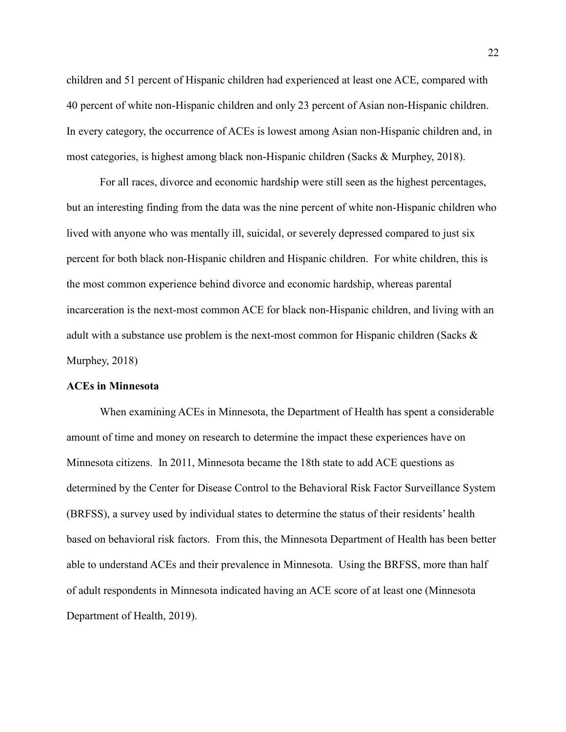children and 51 percent of Hispanic children had experienced at least one ACE, compared with 40 percent of white non-Hispanic children and only 23 percent of Asian non-Hispanic children. In every category, the occurrence of ACEs is lowest among Asian non-Hispanic children and, in most categories, is highest among black non-Hispanic children (Sacks & Murphey, 2018).

For all races, divorce and economic hardship were still seen as the highest percentages, but an interesting finding from the data was the nine percent of white non-Hispanic children who lived with anyone who was mentally ill, suicidal, or severely depressed compared to just six percent for both black non-Hispanic children and Hispanic children. For white children, this is the most common experience behind divorce and economic hardship, whereas parental incarceration is the next-most common ACE for black non-Hispanic children, and living with an adult with a substance use problem is the next-most common for Hispanic children (Sacks & Murphey, 2018)

## **ACEs in Minnesota**

When examining ACEs in Minnesota, the Department of Health has spent a considerable amount of time and money on research to determine the impact these experiences have on Minnesota citizens. In 2011, Minnesota became the 18th state to add ACE questions as determined by the Center for Disease Control to the Behavioral Risk Factor Surveillance System (BRFSS), a survey used by individual states to determine the status of their residents' health based on behavioral risk factors. From this, the Minnesota Department of Health has been better able to understand ACEs and their prevalence in Minnesota. Using the BRFSS, more than half of adult respondents in Minnesota indicated having an ACE score of at least one (Minnesota Department of Health, 2019).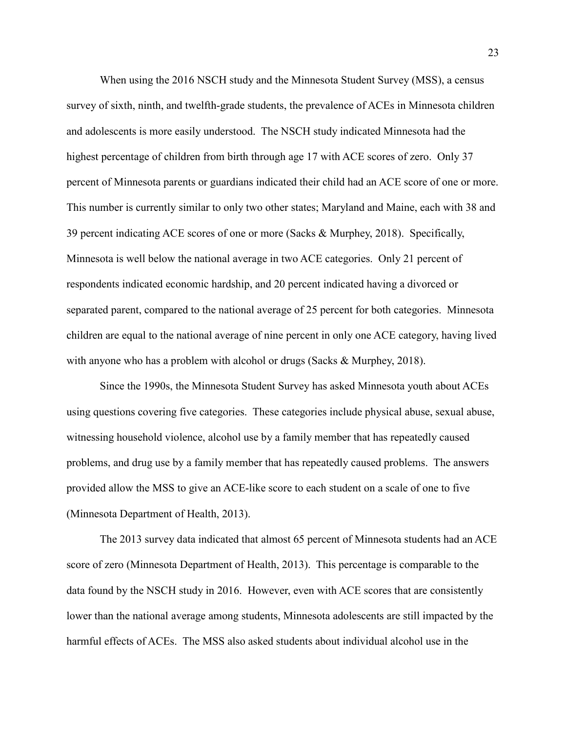When using the 2016 NSCH study and the Minnesota Student Survey (MSS), a census survey of sixth, ninth, and twelfth-grade students, the prevalence of ACEs in Minnesota children and adolescents is more easily understood. The NSCH study indicated Minnesota had the highest percentage of children from birth through age 17 with ACE scores of zero. Only 37 percent of Minnesota parents or guardians indicated their child had an ACE score of one or more. This number is currently similar to only two other states; Maryland and Maine, each with 38 and 39 percent indicating ACE scores of one or more (Sacks & Murphey, 2018). Specifically, Minnesota is well below the national average in two ACE categories. Only 21 percent of respondents indicated economic hardship, and 20 percent indicated having a divorced or separated parent, compared to the national average of 25 percent for both categories. Minnesota children are equal to the national average of nine percent in only one ACE category, having lived with anyone who has a problem with alcohol or drugs (Sacks & Murphey, 2018).

Since the 1990s, the Minnesota Student Survey has asked Minnesota youth about ACEs using questions covering five categories. These categories include physical abuse, sexual abuse, witnessing household violence, alcohol use by a family member that has repeatedly caused problems, and drug use by a family member that has repeatedly caused problems. The answers provided allow the MSS to give an ACE-like score to each student on a scale of one to five (Minnesota Department of Health, 2013).

 The 2013 survey data indicated that almost 65 percent of Minnesota students had an ACE score of zero (Minnesota Department of Health, 2013). This percentage is comparable to the data found by the NSCH study in 2016. However, even with ACE scores that are consistently lower than the national average among students, Minnesota adolescents are still impacted by the harmful effects of ACEs. The MSS also asked students about individual alcohol use in the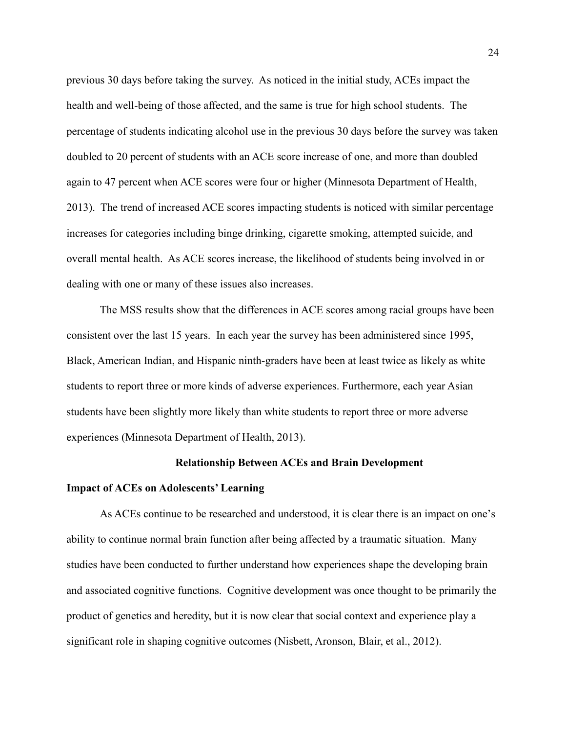previous 30 days before taking the survey. As noticed in the initial study, ACEs impact the health and well-being of those affected, and the same is true for high school students. The percentage of students indicating alcohol use in the previous 30 days before the survey was taken doubled to 20 percent of students with an ACE score increase of one, and more than doubled again to 47 percent when ACE scores were four or higher (Minnesota Department of Health, 2013). The trend of increased ACE scores impacting students is noticed with similar percentage increases for categories including binge drinking, cigarette smoking, attempted suicide, and overall mental health. As ACE scores increase, the likelihood of students being involved in or dealing with one or many of these issues also increases.

The MSS results show that the differences in ACE scores among racial groups have been consistent over the last 15 years. In each year the survey has been administered since 1995, Black, American Indian, and Hispanic ninth-graders have been at least twice as likely as white students to report three or more kinds of adverse experiences. Furthermore, each year Asian students have been slightly more likely than white students to report three or more adverse experiences (Minnesota Department of Health, 2013).

### <span id="page-24-0"></span>**Relationship Between ACEs and Brain Development**

### **Impact of ACEs on Adolescents' Learning**

As ACEs continue to be researched and understood, it is clear there is an impact on one's ability to continue normal brain function after being affected by a traumatic situation. Many studies have been conducted to further understand how experiences shape the developing brain and associated cognitive functions. Cognitive development was once thought to be primarily the product of genetics and heredity, but it is now clear that social context and experience play a significant role in shaping cognitive outcomes (Nisbett, Aronson, Blair, et al., 2012).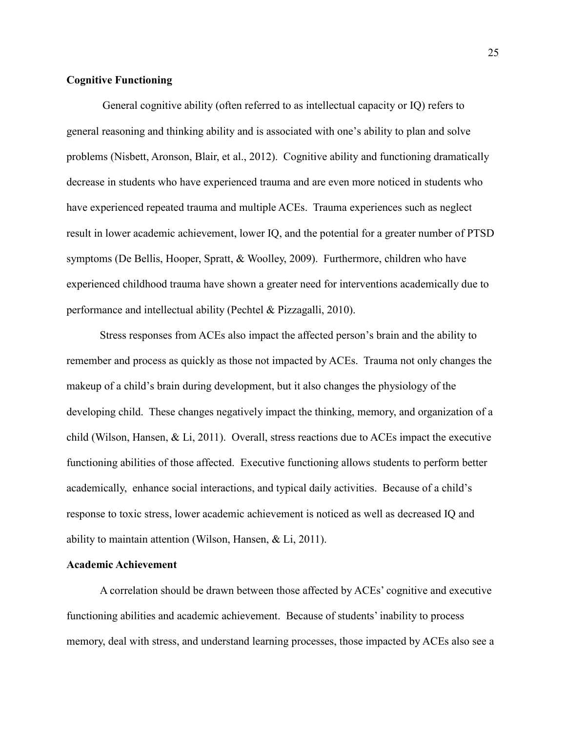## **Cognitive Functioning**

 General cognitive ability (often referred to as intellectual capacity or IQ) refers to general reasoning and thinking ability and is associated with one's ability to plan and solve problems (Nisbett, Aronson, Blair, et al., 2012). Cognitive ability and functioning dramatically decrease in students who have experienced trauma and are even more noticed in students who have experienced repeated trauma and multiple ACEs. Trauma experiences such as neglect result in lower academic achievement, lower IQ, and the potential for a greater number of PTSD symptoms (De Bellis, Hooper, Spratt, & Woolley, 2009). Furthermore, children who have experienced childhood trauma have shown a greater need for interventions academically due to performance and intellectual ability (Pechtel & Pizzagalli, 2010).

Stress responses from ACEs also impact the affected person's brain and the ability to remember and process as quickly as those not impacted by ACEs. Trauma not only changes the makeup of a child's brain during development, but it also changes the physiology of the developing child. These changes negatively impact the thinking, memory, and organization of a child (Wilson, Hansen, & Li, 2011). Overall, stress reactions due to ACEs impact the executive functioning abilities of those affected. Executive functioning allows students to perform better academically, enhance social interactions, and typical daily activities. Because of a child's response to toxic stress, lower academic achievement is noticed as well as decreased IQ and ability to maintain attention (Wilson, Hansen, & Li, 2011).

## **Academic Achievement**

A correlation should be drawn between those affected by ACEs' cognitive and executive functioning abilities and academic achievement. Because of students' inability to process memory, deal with stress, and understand learning processes, those impacted by ACEs also see a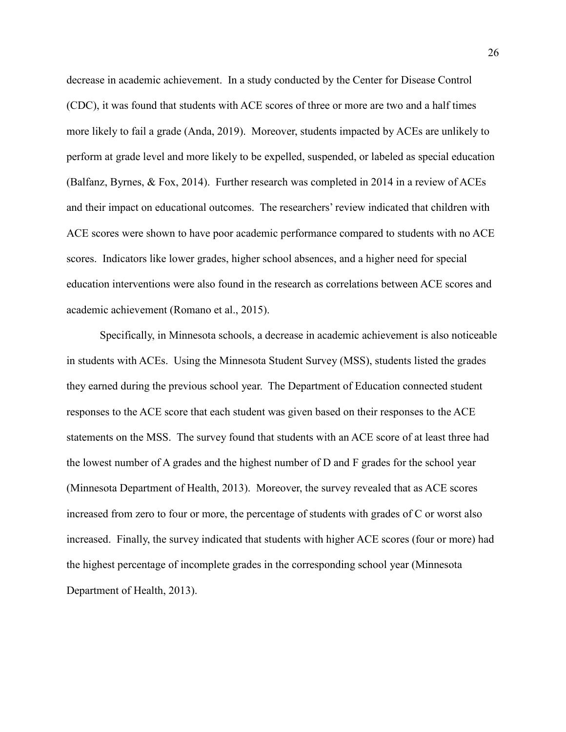decrease in academic achievement. In a study conducted by the Center for Disease Control (CDC), it was found that students with ACE scores of three or more are two and a half times more likely to fail a grade (Anda, 2019). Moreover, students impacted by ACEs are unlikely to perform at grade level and more likely to be expelled, suspended, or labeled as special education (Balfanz, Byrnes, & Fox, 2014). Further research was completed in 2014 in a review of ACEs and their impact on educational outcomes. The researchers' review indicated that children with ACE scores were shown to have poor academic performance compared to students with no ACE scores. Indicators like lower grades, higher school absences, and a higher need for special education interventions were also found in the research as correlations between ACE scores and academic achievement (Romano et al., 2015).

 Specifically, in Minnesota schools, a decrease in academic achievement is also noticeable in students with ACEs. Using the Minnesota Student Survey (MSS), students listed the grades they earned during the previous school year. The Department of Education connected student responses to the ACE score that each student was given based on their responses to the ACE statements on the MSS. The survey found that students with an ACE score of at least three had the lowest number of A grades and the highest number of D and F grades for the school year (Minnesota Department of Health, 2013). Moreover, the survey revealed that as ACE scores increased from zero to four or more, the percentage of students with grades of C or worst also increased. Finally, the survey indicated that students with higher ACE scores (four or more) had the highest percentage of incomplete grades in the corresponding school year (Minnesota Department of Health, 2013).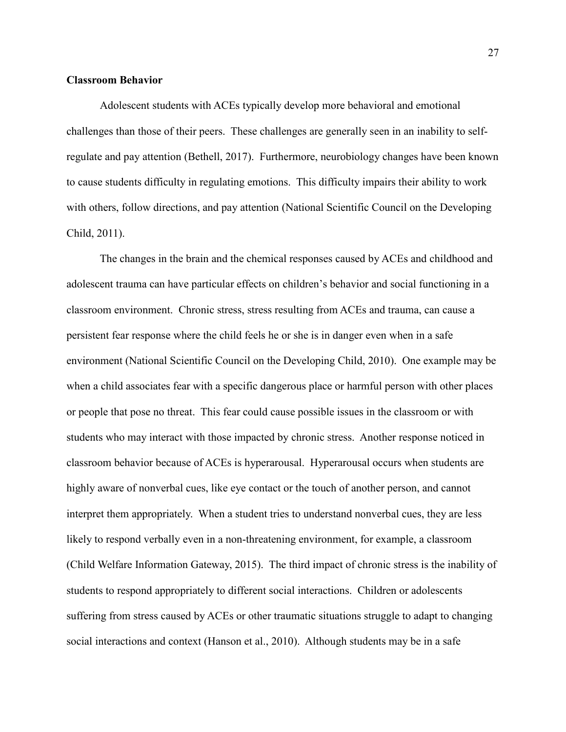#### **Classroom Behavior**

Adolescent students with ACEs typically develop more behavioral and emotional challenges than those of their peers. These challenges are generally seen in an inability to selfregulate and pay attention (Bethell, 2017). Furthermore, neurobiology changes have been known to cause students difficulty in regulating emotions. This difficulty impairs their ability to work with others, follow directions, and pay attention (National Scientific Council on the Developing Child, 2011).

The changes in the brain and the chemical responses caused by ACEs and childhood and adolescent trauma can have particular effects on children's behavior and social functioning in a classroom environment. Chronic stress, stress resulting from ACEs and trauma, can cause a persistent fear response where the child feels he or she is in danger even when in a safe environment (National Scientific Council on the Developing Child, 2010). One example may be when a child associates fear with a specific dangerous place or harmful person with other places or people that pose no threat. This fear could cause possible issues in the classroom or with students who may interact with those impacted by chronic stress. Another response noticed in classroom behavior because of ACEs is hyperarousal. Hyperarousal occurs when students are highly aware of nonverbal cues, like eye contact or the touch of another person, and cannot interpret them appropriately. When a student tries to understand nonverbal cues, they are less likely to respond verbally even in a non-threatening environment, for example, a classroom (Child Welfare Information Gateway, 2015). The third impact of chronic stress is the inability of students to respond appropriately to different social interactions. Children or adolescents suffering from stress caused by ACEs or other traumatic situations struggle to adapt to changing social interactions and context (Hanson et al., 2010). Although students may be in a safe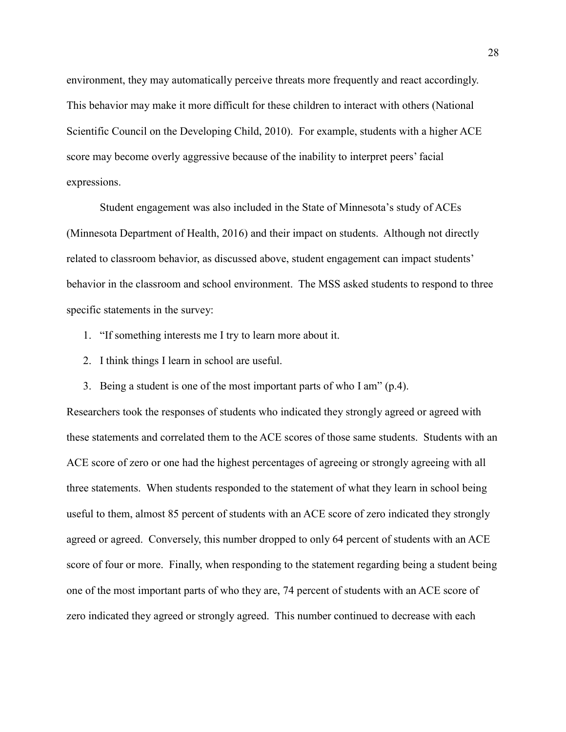environment, they may automatically perceive threats more frequently and react accordingly. This behavior may make it more difficult for these children to interact with others (National Scientific Council on the Developing Child, 2010). For example, students with a higher ACE score may become overly aggressive because of the inability to interpret peers' facial expressions.

Student engagement was also included in the State of Minnesota's study of ACEs (Minnesota Department of Health, 2016) and their impact on students. Although not directly related to classroom behavior, as discussed above, student engagement can impact students' behavior in the classroom and school environment. The MSS asked students to respond to three specific statements in the survey:

- 1. "If something interests me I try to learn more about it.
- 2. I think things I learn in school are useful.
- 3. Being a student is one of the most important parts of who I am" (p.4).

Researchers took the responses of students who indicated they strongly agreed or agreed with these statements and correlated them to the ACE scores of those same students. Students with an ACE score of zero or one had the highest percentages of agreeing or strongly agreeing with all three statements. When students responded to the statement of what they learn in school being useful to them, almost 85 percent of students with an ACE score of zero indicated they strongly agreed or agreed. Conversely, this number dropped to only 64 percent of students with an ACE score of four or more. Finally, when responding to the statement regarding being a student being one of the most important parts of who they are, 74 percent of students with an ACE score of zero indicated they agreed or strongly agreed. This number continued to decrease with each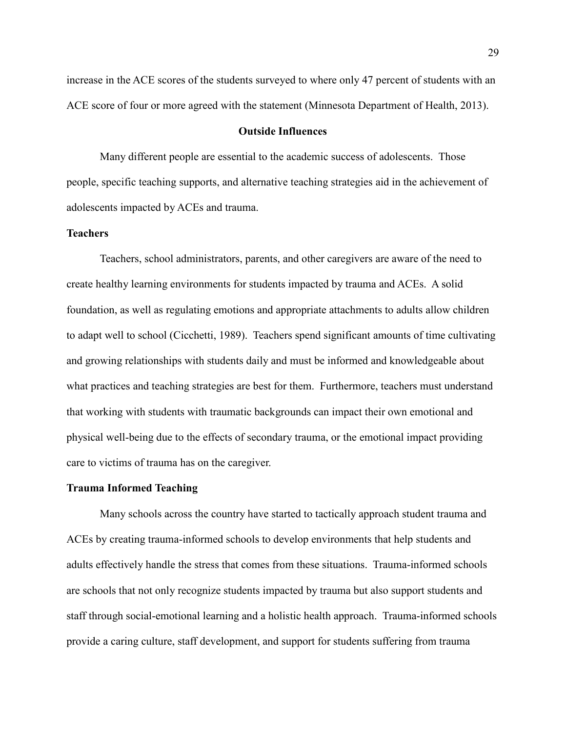increase in the ACE scores of the students surveyed to where only 47 percent of students with an ACE score of four or more agreed with the statement (Minnesota Department of Health, 2013).

#### **Outside Influences**

Many different people are essential to the academic success of adolescents. Those people, specific teaching supports, and alternative teaching strategies aid in the achievement of adolescents impacted by ACEs and trauma.

## **Teachers**

Teachers, school administrators, parents, and other caregivers are aware of the need to create healthy learning environments for students impacted by trauma and ACEs. A solid foundation, as well as regulating emotions and appropriate attachments to adults allow children to adapt well to school (Cicchetti, 1989). Teachers spend significant amounts of time cultivating and growing relationships with students daily and must be informed and knowledgeable about what practices and teaching strategies are best for them. Furthermore, teachers must understand that working with students with traumatic backgrounds can impact their own emotional and physical well-being due to the effects of secondary trauma, or the emotional impact providing care to victims of trauma has on the caregiver.

#### **Trauma Informed Teaching**

Many schools across the country have started to tactically approach student trauma and ACEs by creating trauma-informed schools to develop environments that help students and adults effectively handle the stress that comes from these situations. Trauma-informed schools are schools that not only recognize students impacted by trauma but also support students and staff through social-emotional learning and a holistic health approach. Trauma-informed schools provide a caring culture, staff development, and support for students suffering from trauma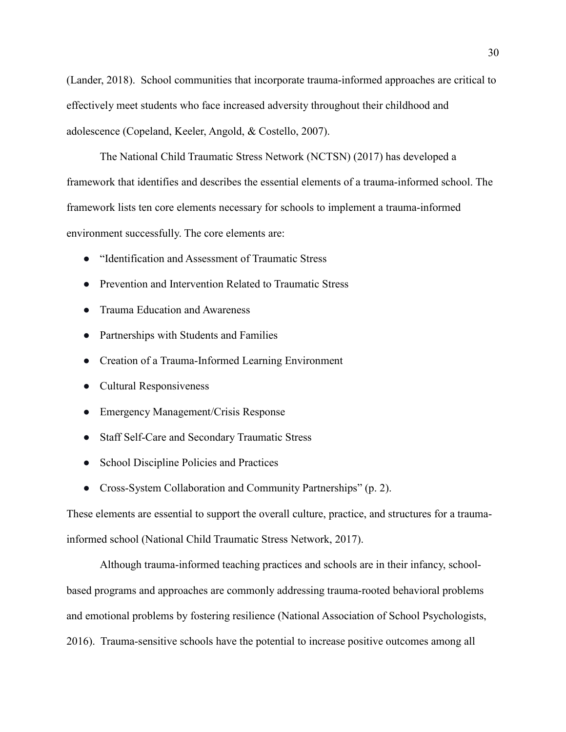(Lander, 2018). School communities that incorporate trauma-informed approaches are critical to effectively meet students who face increased adversity throughout their childhood and adolescence (Copeland, Keeler, Angold, & Costello, 2007).

The National Child Traumatic Stress Network (NCTSN) (2017) has developed a framework that identifies and describes the essential elements of a trauma-informed school. The framework lists ten core elements necessary for schools to implement a trauma-informed environment successfully. The core elements are:

- "Identification and Assessment of Traumatic Stress
- Prevention and Intervention Related to Traumatic Stress
- Trauma Education and Awareness
- Partnerships with Students and Families
- Creation of a Trauma-Informed Learning Environment
- Cultural Responsiveness
- Emergency Management/Crisis Response
- Staff Self-Care and Secondary Traumatic Stress
- School Discipline Policies and Practices
- Cross-System Collaboration and Community Partnerships" (p. 2).

These elements are essential to support the overall culture, practice, and structures for a traumainformed school (National Child Traumatic Stress Network, 2017).

Although trauma-informed teaching practices and schools are in their infancy, schoolbased programs and approaches are commonly addressing trauma-rooted behavioral problems and emotional problems by fostering resilience (National Association of School Psychologists, 2016). Trauma-sensitive schools have the potential to increase positive outcomes among all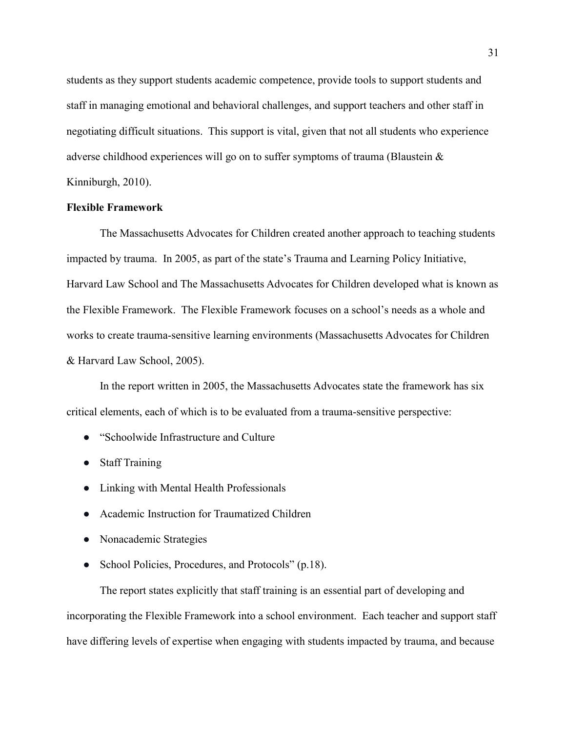students as they support students academic competence, provide tools to support students and staff in managing emotional and behavioral challenges, and support teachers and other staff in negotiating difficult situations. This support is vital, given that not all students who experience adverse childhood experiences will go on to suffer symptoms of trauma (Blaustein & Kinniburgh, 2010).

#### **Flexible Framework**

The Massachusetts Advocates for Children created another approach to teaching students impacted by trauma. In 2005, as part of the state's Trauma and Learning Policy Initiative, Harvard Law School and The Massachusetts Advocates for Children developed what is known as the Flexible Framework. The Flexible Framework focuses on a school's needs as a whole and works to create trauma-sensitive learning environments (Massachusetts Advocates for Children & Harvard Law School, 2005).

In the report written in 2005, the Massachusetts Advocates state the framework has six critical elements, each of which is to be evaluated from a trauma-sensitive perspective:

- "Schoolwide Infrastructure and Culture
- Staff Training
- Linking with Mental Health Professionals
- Academic Instruction for Traumatized Children
- Nonacademic Strategies
- School Policies, Procedures, and Protocols" (p.18).

The report states explicitly that staff training is an essential part of developing and incorporating the Flexible Framework into a school environment. Each teacher and support staff have differing levels of expertise when engaging with students impacted by trauma, and because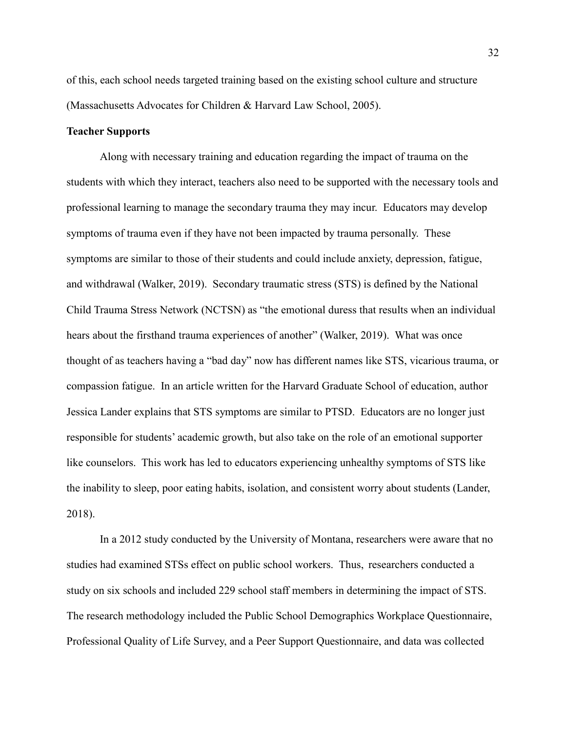of this, each school needs targeted training based on the existing school culture and structure (Massachusetts Advocates for Children & Harvard Law School, 2005).

#### **Teacher Supports**

Along with necessary training and education regarding the impact of trauma on the students with which they interact, teachers also need to be supported with the necessary tools and professional learning to manage the secondary trauma they may incur. Educators may develop symptoms of trauma even if they have not been impacted by trauma personally. These symptoms are similar to those of their students and could include anxiety, depression, fatigue, and withdrawal (Walker, 2019). Secondary traumatic stress (STS) is defined by the National Child Trauma Stress Network (NCTSN) as "the emotional duress that results when an individual hears about the firsthand trauma experiences of another" (Walker, 2019). What was once thought of as teachers having a "bad day" now has different names like STS, vicarious trauma, or compassion fatigue. In an article written for the Harvard Graduate School of education, author Jessica Lander explains that STS symptoms are similar to PTSD. Educators are no longer just responsible for students' academic growth, but also take on the role of an emotional supporter like counselors. This work has led to educators experiencing unhealthy symptoms of STS like the inability to sleep, poor eating habits, isolation, and consistent worry about students (Lander, 2018).

In a 2012 study conducted by the University of Montana, researchers were aware that no studies had examined STSs effect on public school workers. Thus, researchers conducted a study on six schools and included 229 school staff members in determining the impact of STS. The research methodology included the Public School Demographics Workplace Questionnaire, Professional Quality of Life Survey, and a Peer Support Questionnaire, and data was collected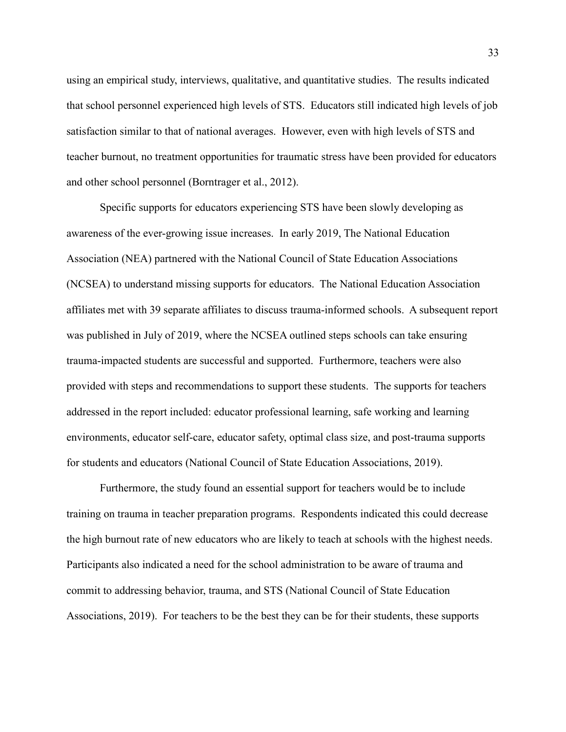using an empirical study, interviews, qualitative, and quantitative studies. The results indicated that school personnel experienced high levels of STS. Educators still indicated high levels of job satisfaction similar to that of national averages. However, even with high levels of STS and teacher burnout, no treatment opportunities for traumatic stress have been provided for educators and other school personnel (Borntrager et al., 2012).

Specific supports for educators experiencing STS have been slowly developing as awareness of the ever-growing issue increases. In early 2019, The National Education Association (NEA) partnered with the National Council of State Education Associations (NCSEA) to understand missing supports for educators. The National Education Association affiliates met with 39 separate affiliates to discuss trauma-informed schools. A subsequent report was published in July of 2019, where the NCSEA outlined steps schools can take ensuring trauma-impacted students are successful and supported. Furthermore, teachers were also provided with steps and recommendations to support these students. The supports for teachers addressed in the report included: educator professional learning, safe working and learning environments, educator self-care, educator safety, optimal class size, and post-trauma supports for students and educators (National Council of State Education Associations, 2019).

Furthermore, the study found an essential support for teachers would be to include training on trauma in teacher preparation programs. Respondents indicated this could decrease the high burnout rate of new educators who are likely to teach at schools with the highest needs. Participants also indicated a need for the school administration to be aware of trauma and commit to addressing behavior, trauma, and STS (National Council of State Education Associations, 2019). For teachers to be the best they can be for their students, these supports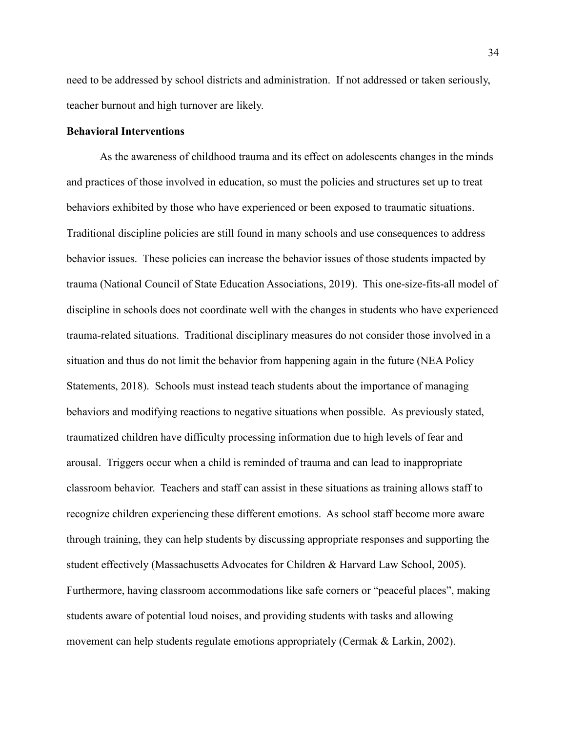need to be addressed by school districts and administration. If not addressed or taken seriously, teacher burnout and high turnover are likely.

#### **Behavioral Interventions**

As the awareness of childhood trauma and its effect on adolescents changes in the minds and practices of those involved in education, so must the policies and structures set up to treat behaviors exhibited by those who have experienced or been exposed to traumatic situations. Traditional discipline policies are still found in many schools and use consequences to address behavior issues. These policies can increase the behavior issues of those students impacted by trauma (National Council of State Education Associations, 2019). This one-size-fits-all model of discipline in schools does not coordinate well with the changes in students who have experienced trauma-related situations. Traditional disciplinary measures do not consider those involved in a situation and thus do not limit the behavior from happening again in the future (NEA Policy Statements, 2018). Schools must instead teach students about the importance of managing behaviors and modifying reactions to negative situations when possible. As previously stated, traumatized children have difficulty processing information due to high levels of fear and arousal. Triggers occur when a child is reminded of trauma and can lead to inappropriate classroom behavior. Teachers and staff can assist in these situations as training allows staff to recognize children experiencing these different emotions. As school staff become more aware through training, they can help students by discussing appropriate responses and supporting the student effectively (Massachusetts Advocates for Children & Harvard Law School, 2005). Furthermore, having classroom accommodations like safe corners or "peaceful places", making students aware of potential loud noises, and providing students with tasks and allowing movement can help students regulate emotions appropriately (Cermak & Larkin, 2002).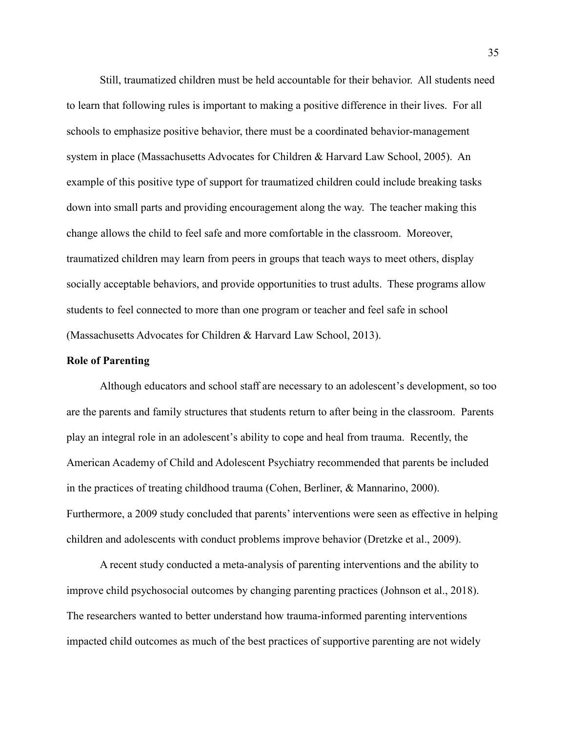Still, traumatized children must be held accountable for their behavior. All students need to learn that following rules is important to making a positive difference in their lives. For all schools to emphasize positive behavior, there must be a coordinated behavior-management system in place (Massachusetts Advocates for Children & Harvard Law School, 2005). An example of this positive type of support for traumatized children could include breaking tasks down into small parts and providing encouragement along the way. The teacher making this change allows the child to feel safe and more comfortable in the classroom. Moreover, traumatized children may learn from peers in groups that teach ways to meet others, display socially acceptable behaviors, and provide opportunities to trust adults. These programs allow students to feel connected to more than one program or teacher and feel safe in school (Massachusetts Advocates for Children & Harvard Law School, 2013).

### **Role of Parenting**

Although educators and school staff are necessary to an adolescent's development, so too are the parents and family structures that students return to after being in the classroom. Parents play an integral role in an adolescent's ability to cope and heal from trauma. Recently, the American Academy of Child and Adolescent Psychiatry recommended that parents be included in the practices of treating childhood trauma (Cohen, Berliner, & Mannarino, 2000). Furthermore, a 2009 study concluded that parents' interventions were seen as effective in helping children and adolescents with conduct problems improve behavior (Dretzke et al., 2009).

A recent study conducted a meta-analysis of parenting interventions and the ability to improve child psychosocial outcomes by changing parenting practices (Johnson et al., 2018). The researchers wanted to better understand how trauma-informed parenting interventions impacted child outcomes as much of the best practices of supportive parenting are not widely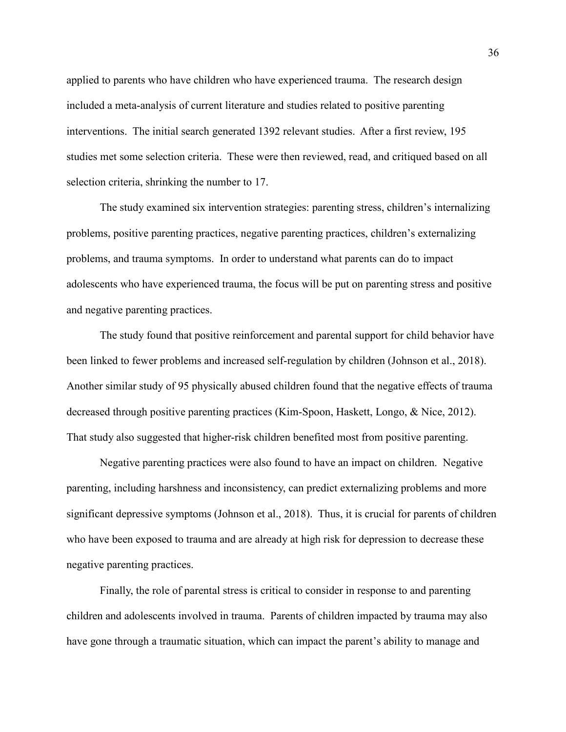applied to parents who have children who have experienced trauma. The research design included a meta-analysis of current literature and studies related to positive parenting interventions. The initial search generated 1392 relevant studies. After a first review, 195 studies met some selection criteria. These were then reviewed, read, and critiqued based on all selection criteria, shrinking the number to 17.

The study examined six intervention strategies: parenting stress, children's internalizing problems, positive parenting practices, negative parenting practices, children's externalizing problems, and trauma symptoms. In order to understand what parents can do to impact adolescents who have experienced trauma, the focus will be put on parenting stress and positive and negative parenting practices.

The study found that positive reinforcement and parental support for child behavior have been linked to fewer problems and increased self-regulation by children (Johnson et al., 2018). Another similar study of 95 physically abused children found that the negative effects of trauma decreased through positive parenting practices (Kim-Spoon, Haskett, Longo, & Nice, 2012). That study also suggested that higher-risk children benefited most from positive parenting.

 Negative parenting practices were also found to have an impact on children. Negative parenting, including harshness and inconsistency, can predict externalizing problems and more significant depressive symptoms (Johnson et al., 2018). Thus, it is crucial for parents of children who have been exposed to trauma and are already at high risk for depression to decrease these negative parenting practices.

 Finally, the role of parental stress is critical to consider in response to and parenting children and adolescents involved in trauma. Parents of children impacted by trauma may also have gone through a traumatic situation, which can impact the parent's ability to manage and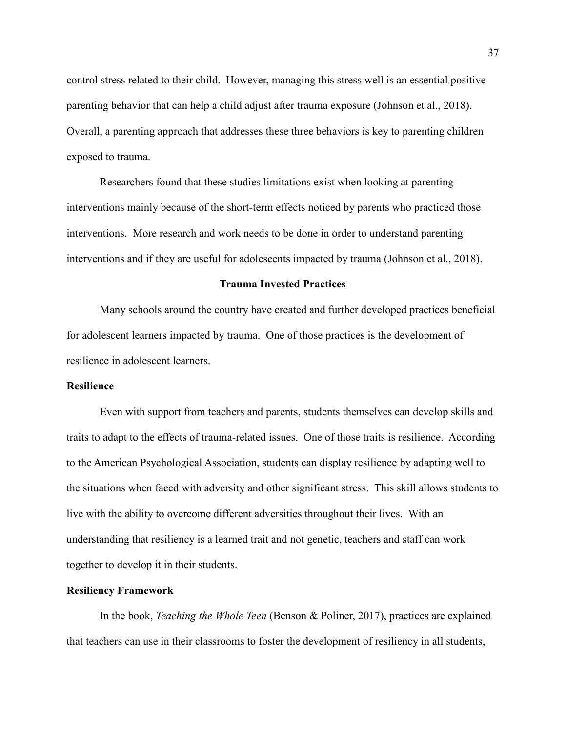control stress related to their child. However, managing this stress well is an essential positive parenting behavior that can help a child adjust after trauma exposure (Johnson et al., 2018). Overall, a parenting approach that addresses these three behaviors is key to parenting children exposed to trauma.

Researchers found that these studies limitations exist when looking at parenting interventions mainly because of the short-term effects noticed by parents who practiced those interventions. More research and work needs to be done in order to understand parenting interventions and if they are useful for adolescents impacted by trauma (Johnson et al., 2018).

#### **Trauma Invested Practices**

 Many schools around the country have created and further developed practices beneficial for adolescent learners impacted by trauma. One of those practices is the development of resilience in adolescent learners.

### **Resilience**

Even with support from teachers and parents, students themselves can develop skills and traits to adapt to the effects of trauma-related issues. One of those traits is resilience. According to the American Psychological Association, students can display resilience by adapting well to the situations when faced with adversity and other significant stress. This skill allows students to live with the ability to overcome different adversities throughout their lives. With an understanding that resiliency is a learned trait and not genetic, teachers and staff can work together to develop it in their students.

### **Resiliency Framework**

In the book, *Teaching the Whole Teen* (Benson & Poliner, 2017), practices are explained that teachers can use in their classrooms to foster the development of resiliency in all students,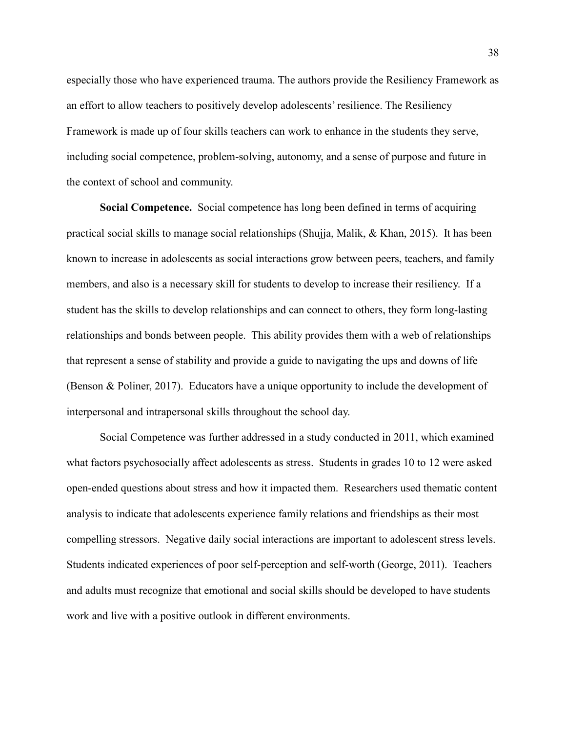especially those who have experienced trauma. The authors provide the Resiliency Framework as an effort to allow teachers to positively develop adolescents' resilience. The Resiliency Framework is made up of four skills teachers can work to enhance in the students they serve, including social competence, problem-solving, autonomy, and a sense of purpose and future in the context of school and community.

**Social Competence.** Social competence has long been defined in terms of acquiring practical social skills to manage social relationships (Shujja, Malik, & Khan, 2015). It has been known to increase in adolescents as social interactions grow between peers, teachers, and family members, and also is a necessary skill for students to develop to increase their resiliency. If a student has the skills to develop relationships and can connect to others, they form long-lasting relationships and bonds between people. This ability provides them with a web of relationships that represent a sense of stability and provide a guide to navigating the ups and downs of life (Benson & Poliner, 2017). Educators have a unique opportunity to include the development of interpersonal and intrapersonal skills throughout the school day.

Social Competence was further addressed in a study conducted in 2011, which examined what factors psychosocially affect adolescents as stress. Students in grades 10 to 12 were asked open-ended questions about stress and how it impacted them. Researchers used thematic content analysis to indicate that adolescents experience family relations and friendships as their most compelling stressors. Negative daily social interactions are important to adolescent stress levels. Students indicated experiences of poor self-perception and self-worth (George, 2011). Teachers and adults must recognize that emotional and social skills should be developed to have students work and live with a positive outlook in different environments.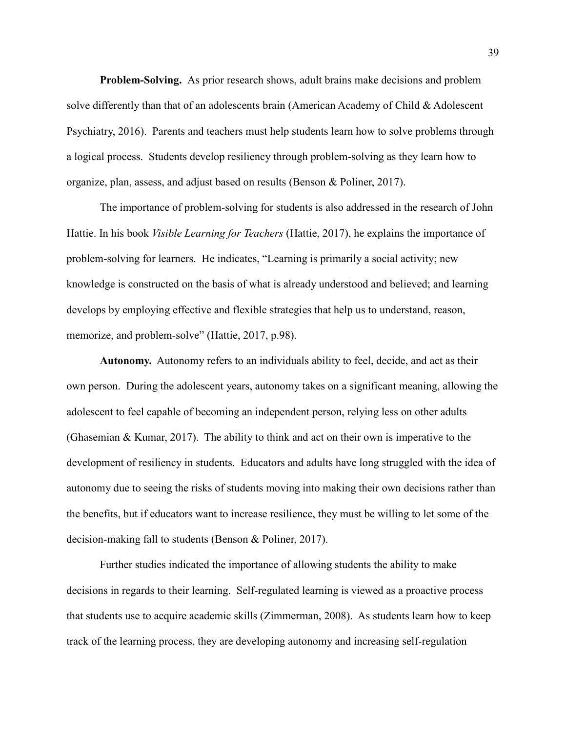**Problem-Solving.** As prior research shows, adult brains make decisions and problem solve differently than that of an adolescents brain (American Academy of Child & Adolescent Psychiatry, 2016). Parents and teachers must help students learn how to solve problems through a logical process. Students develop resiliency through problem-solving as they learn how to organize, plan, assess, and adjust based on results (Benson & Poliner, 2017).

The importance of problem-solving for students is also addressed in the research of John Hattie. In his book *Visible Learning for Teachers* (Hattie, 2017), he explains the importance of problem-solving for learners. He indicates, "Learning is primarily a social activity; new knowledge is constructed on the basis of what is already understood and believed; and learning develops by employing effective and flexible strategies that help us to understand, reason, memorize, and problem-solve" (Hattie, 2017, p.98).

**Autonomy.** Autonomy refers to an individuals ability to feel, decide, and act as their own person. During the adolescent years, autonomy takes on a significant meaning, allowing the adolescent to feel capable of becoming an independent person, relying less on other adults (Ghasemian & Kumar, 2017). The ability to think and act on their own is imperative to the development of resiliency in students. Educators and adults have long struggled with the idea of autonomy due to seeing the risks of students moving into making their own decisions rather than the benefits, but if educators want to increase resilience, they must be willing to let some of the decision-making fall to students (Benson & Poliner, 2017).

Further studies indicated the importance of allowing students the ability to make decisions in regards to their learning. Self-regulated learning is viewed as a proactive process that students use to acquire academic skills (Zimmerman, 2008). As students learn how to keep track of the learning process, they are developing autonomy and increasing self-regulation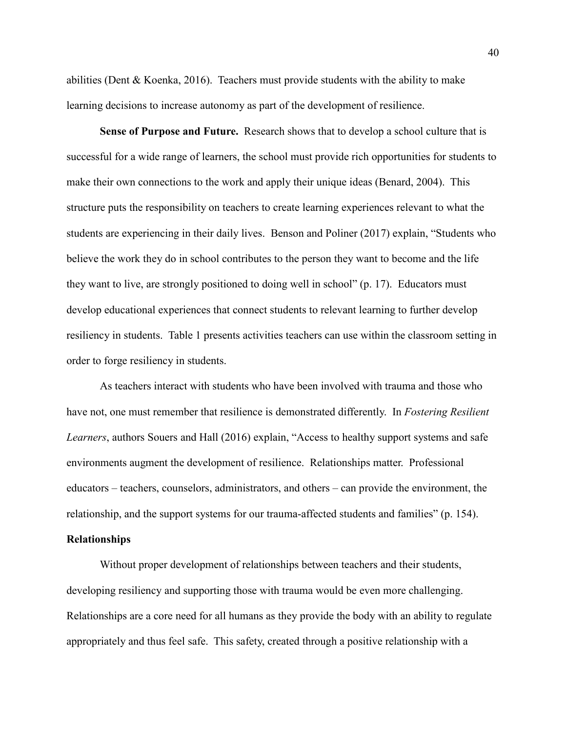abilities (Dent & Koenka, 2016). Teachers must provide students with the ability to make learning decisions to increase autonomy as part of the development of resilience.

**Sense of Purpose and Future.** Research shows that to develop a school culture that is successful for a wide range of learners, the school must provide rich opportunities for students to make their own connections to the work and apply their unique ideas (Benard, 2004). This structure puts the responsibility on teachers to create learning experiences relevant to what the students are experiencing in their daily lives. Benson and Poliner (2017) explain, "Students who believe the work they do in school contributes to the person they want to become and the life they want to live, are strongly positioned to doing well in school" (p. 17). Educators must develop educational experiences that connect students to relevant learning to further develop resiliency in students. Table 1 presents activities teachers can use within the classroom setting in order to forge resiliency in students.

As teachers interact with students who have been involved with trauma and those who have not, one must remember that resilience is demonstrated differently. In *Fostering Resilient Learners*, authors Souers and Hall (2016) explain, "Access to healthy support systems and safe environments augment the development of resilience. Relationships matter. Professional educators – teachers, counselors, administrators, and others – can provide the environment, the relationship, and the support systems for our trauma-affected students and families" (p. 154).

## **Relationships**

Without proper development of relationships between teachers and their students, developing resiliency and supporting those with trauma would be even more challenging. Relationships are a core need for all humans as they provide the body with an ability to regulate appropriately and thus feel safe. This safety, created through a positive relationship with a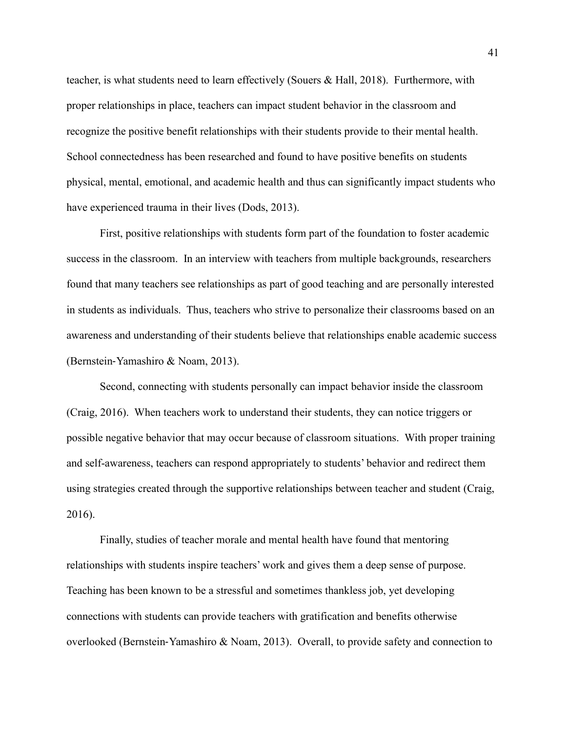teacher, is what students need to learn effectively (Souers & Hall, 2018). Furthermore, with proper relationships in place, teachers can impact student behavior in the classroom and recognize the positive benefit relationships with their students provide to their mental health. School connectedness has been researched and found to have positive benefits on students physical, mental, emotional, and academic health and thus can significantly impact students who have experienced trauma in their lives (Dods, 2013).

 First, positive relationships with students form part of the foundation to foster academic success in the classroom. In an interview with teachers from multiple backgrounds, researchers found that many teachers see relationships as part of good teaching and are personally interested in students as individuals. Thus, teachers who strive to personalize their classrooms based on an awareness and understanding of their students believe that relationships enable academic success (Bernstein-Yamashiro & Noam, 2013).

Second, connecting with students personally can impact behavior inside the classroom (Craig, 2016). When teachers work to understand their students, they can notice triggers or possible negative behavior that may occur because of classroom situations. With proper training and self-awareness, teachers can respond appropriately to students' behavior and redirect them using strategies created through the supportive relationships between teacher and student (Craig, 2016).

Finally, studies of teacher morale and mental health have found that mentoring relationships with students inspire teachers' work and gives them a deep sense of purpose. Teaching has been known to be a stressful and sometimes thankless job, yet developing connections with students can provide teachers with gratification and benefits otherwise overlooked (Bernstein-Yamashiro & Noam, 2013). Overall, to provide safety and connection to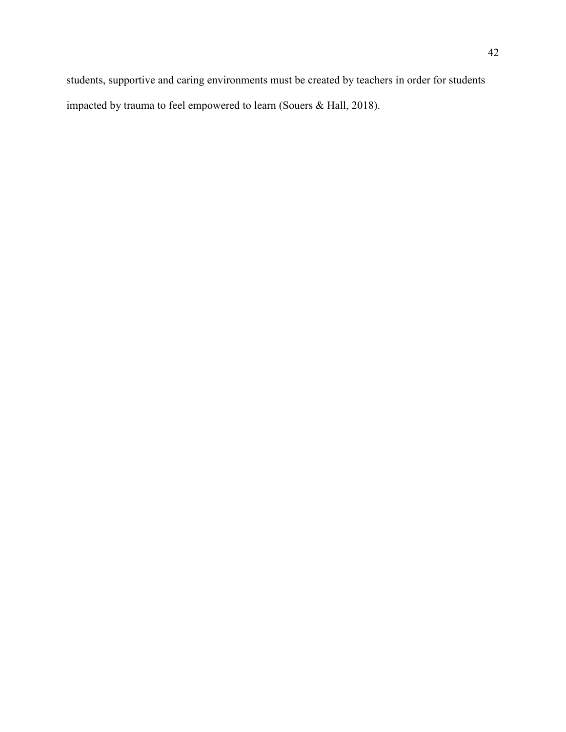<span id="page-42-0"></span>students, supportive and caring environments must be created by teachers in order for students impacted by trauma to feel empowered to learn (Souers & Hall, 2018).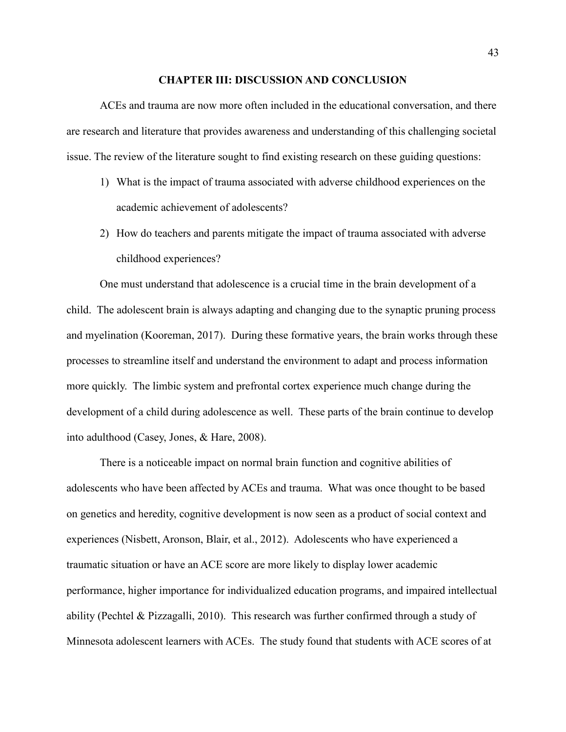#### **CHAPTER III: DISCUSSION AND CONCLUSION**

ACEs and trauma are now more often included in the educational conversation, and there are research and literature that provides awareness and understanding of this challenging societal issue. The review of the literature sought to find existing research on these guiding questions:

- 1) What is the impact of trauma associated with adverse childhood experiences on the academic achievement of adolescents?
- 2) How do teachers and parents mitigate the impact of trauma associated with adverse childhood experiences?

One must understand that adolescence is a crucial time in the brain development of a child. The adolescent brain is always adapting and changing due to the synaptic pruning process and myelination (Kooreman, 2017). During these formative years, the brain works through these processes to streamline itself and understand the environment to adapt and process information more quickly. The limbic system and prefrontal cortex experience much change during the development of a child during adolescence as well. These parts of the brain continue to develop into adulthood (Casey, Jones, & Hare, 2008).

There is a noticeable impact on normal brain function and cognitive abilities of adolescents who have been affected by ACEs and trauma. What was once thought to be based on genetics and heredity, cognitive development is now seen as a product of social context and experiences (Nisbett, Aronson, Blair, et al., 2012). Adolescents who have experienced a traumatic situation or have an ACE score are more likely to display lower academic performance, higher importance for individualized education programs, and impaired intellectual ability (Pechtel & Pizzagalli, 2010). This research was further confirmed through a study of Minnesota adolescent learners with ACEs. The study found that students with ACE scores of at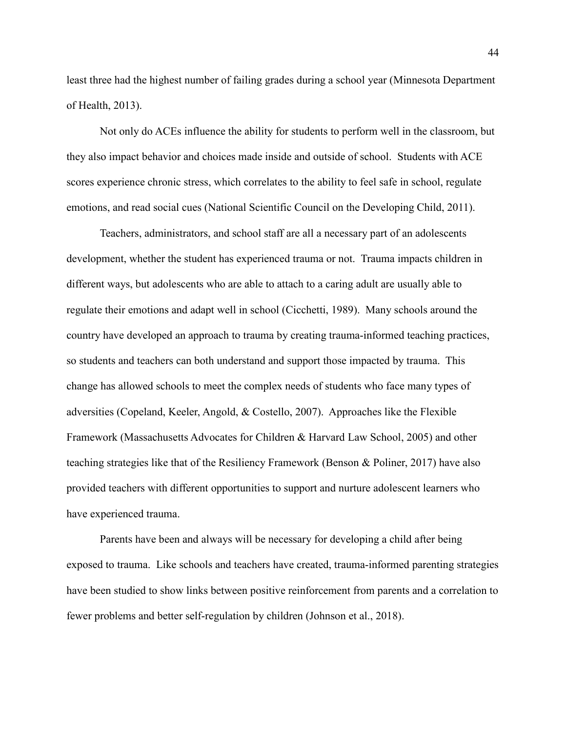least three had the highest number of failing grades during a school year (Minnesota Department of Health, 2013).

Not only do ACEs influence the ability for students to perform well in the classroom, but they also impact behavior and choices made inside and outside of school. Students with ACE scores experience chronic stress, which correlates to the ability to feel safe in school, regulate emotions, and read social cues (National Scientific Council on the Developing Child, 2011).

Teachers, administrators, and school staff are all a necessary part of an adolescents development, whether the student has experienced trauma or not. Trauma impacts children in different ways, but adolescents who are able to attach to a caring adult are usually able to regulate their emotions and adapt well in school (Cicchetti, 1989). Many schools around the country have developed an approach to trauma by creating trauma-informed teaching practices, so students and teachers can both understand and support those impacted by trauma. This change has allowed schools to meet the complex needs of students who face many types of adversities (Copeland, Keeler, Angold, & Costello, 2007). Approaches like the Flexible Framework (Massachusetts Advocates for Children & Harvard Law School, 2005) and other teaching strategies like that of the Resiliency Framework (Benson & Poliner, 2017) have also provided teachers with different opportunities to support and nurture adolescent learners who have experienced trauma.

Parents have been and always will be necessary for developing a child after being exposed to trauma. Like schools and teachers have created, trauma-informed parenting strategies have been studied to show links between positive reinforcement from parents and a correlation to fewer problems and better self-regulation by children (Johnson et al., 2018).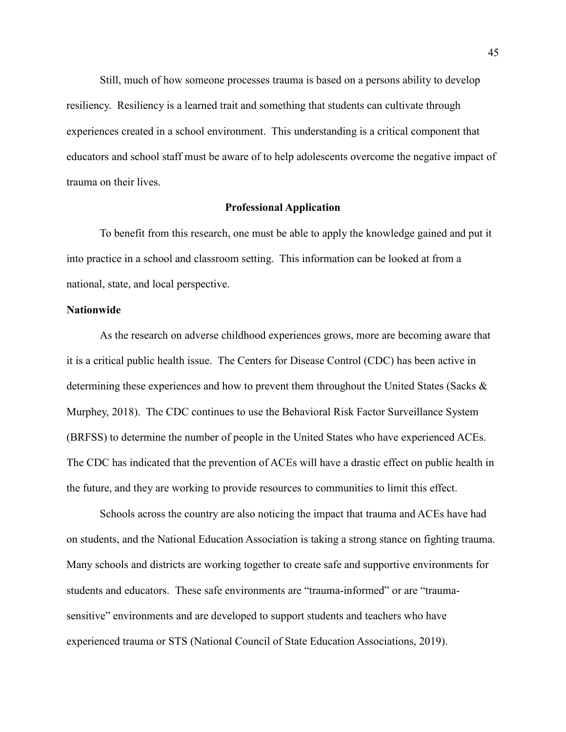Still, much of how someone processes trauma is based on a persons ability to develop resiliency. Resiliency is a learned trait and something that students can cultivate through experiences created in a school environment. This understanding is a critical component that educators and school staff must be aware of to help adolescents overcome the negative impact of trauma on their lives.

### **Professional Application**

<span id="page-45-0"></span> To benefit from this research, one must be able to apply the knowledge gained and put it into practice in a school and classroom setting. This information can be looked at from a national, state, and local perspective.

# **Nationwide**

As the research on adverse childhood experiences grows, more are becoming aware that it is a critical public health issue. The Centers for Disease Control (CDC) has been active in determining these experiences and how to prevent them throughout the United States (Sacks & Murphey, 2018). The CDC continues to use the Behavioral Risk Factor Surveillance System (BRFSS) to determine the number of people in the United States who have experienced ACEs. The CDC has indicated that the prevention of ACEs will have a drastic effect on public health in the future, and they are working to provide resources to communities to limit this effect.

Schools across the country are also noticing the impact that trauma and ACEs have had on students, and the National Education Association is taking a strong stance on fighting trauma. Many schools and districts are working together to create safe and supportive environments for students and educators. These safe environments are "trauma-informed" or are "traumasensitive" environments and are developed to support students and teachers who have experienced trauma or STS (National Council of State Education Associations, 2019).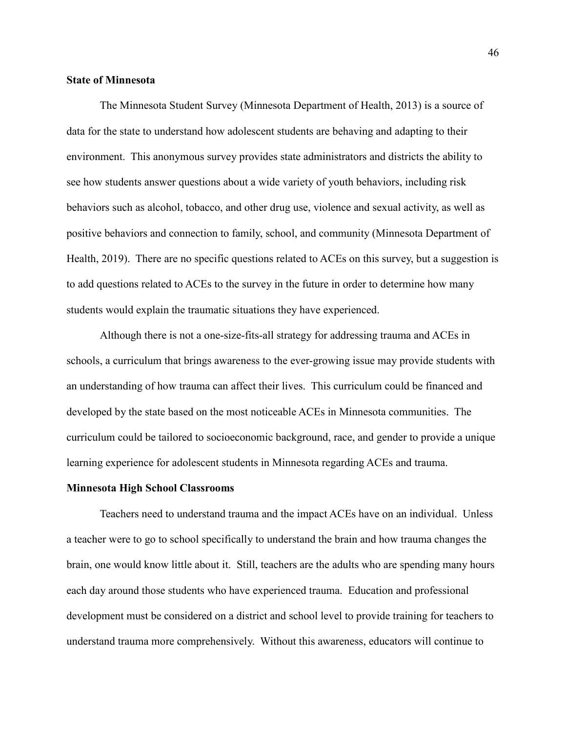## **State of Minnesota**

The Minnesota Student Survey (Minnesota Department of Health, 2013) is a source of data for the state to understand how adolescent students are behaving and adapting to their environment. This anonymous survey provides state administrators and districts the ability to see how students answer questions about a wide variety of youth behaviors, including risk behaviors such as alcohol, tobacco, and other drug use, violence and sexual activity, as well as positive behaviors and connection to family, school, and community (Minnesota Department of Health, 2019). There are no specific questions related to ACEs on this survey, but a suggestion is to add questions related to ACEs to the survey in the future in order to determine how many students would explain the traumatic situations they have experienced.

Although there is not a one-size-fits-all strategy for addressing trauma and ACEs in schools, a curriculum that brings awareness to the ever-growing issue may provide students with an understanding of how trauma can affect their lives. This curriculum could be financed and developed by the state based on the most noticeable ACEs in Minnesota communities. The curriculum could be tailored to socioeconomic background, race, and gender to provide a unique learning experience for adolescent students in Minnesota regarding ACEs and trauma.

### **Minnesota High School Classrooms**

 Teachers need to understand trauma and the impact ACEs have on an individual. Unless a teacher were to go to school specifically to understand the brain and how trauma changes the brain, one would know little about it. Still, teachers are the adults who are spending many hours each day around those students who have experienced trauma. Education and professional development must be considered on a district and school level to provide training for teachers to understand trauma more comprehensively. Without this awareness, educators will continue to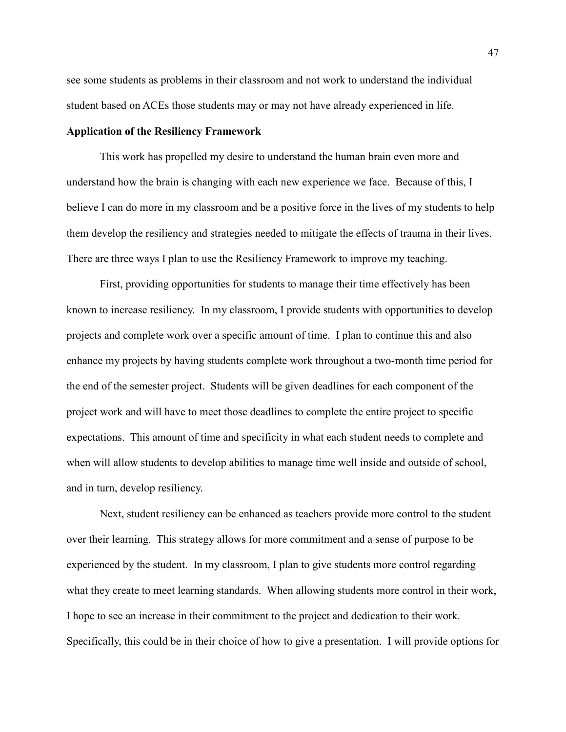see some students as problems in their classroom and not work to understand the individual student based on ACEs those students may or may not have already experienced in life.

#### **Application of the Resiliency Framework**

 This work has propelled my desire to understand the human brain even more and understand how the brain is changing with each new experience we face. Because of this, I believe I can do more in my classroom and be a positive force in the lives of my students to help them develop the resiliency and strategies needed to mitigate the effects of trauma in their lives. There are three ways I plan to use the Resiliency Framework to improve my teaching.

First, providing opportunities for students to manage their time effectively has been known to increase resiliency. In my classroom, I provide students with opportunities to develop projects and complete work over a specific amount of time. I plan to continue this and also enhance my projects by having students complete work throughout a two-month time period for the end of the semester project. Students will be given deadlines for each component of the project work and will have to meet those deadlines to complete the entire project to specific expectations. This amount of time and specificity in what each student needs to complete and when will allow students to develop abilities to manage time well inside and outside of school, and in turn, develop resiliency.

Next, student resiliency can be enhanced as teachers provide more control to the student over their learning. This strategy allows for more commitment and a sense of purpose to be experienced by the student. In my classroom, I plan to give students more control regarding what they create to meet learning standards. When allowing students more control in their work, I hope to see an increase in their commitment to the project and dedication to their work. Specifically, this could be in their choice of how to give a presentation. I will provide options for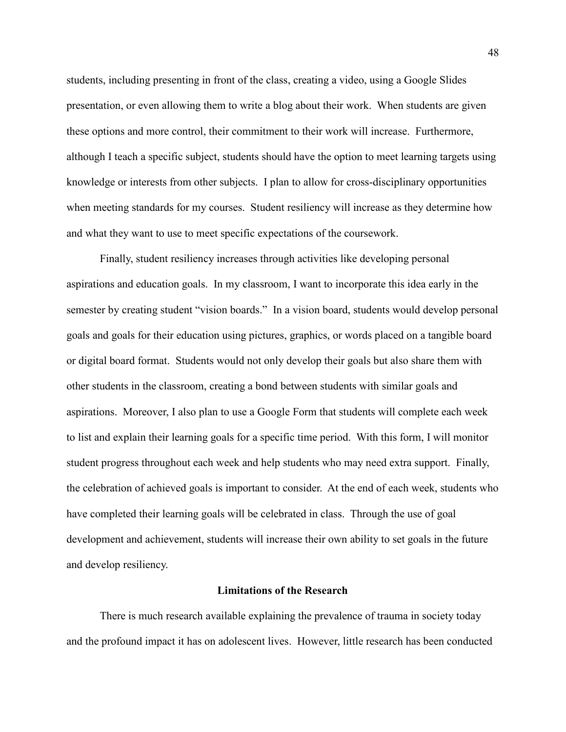students, including presenting in front of the class, creating a video, using a Google Slides presentation, or even allowing them to write a blog about their work. When students are given these options and more control, their commitment to their work will increase. Furthermore, although I teach a specific subject, students should have the option to meet learning targets using knowledge or interests from other subjects. I plan to allow for cross-disciplinary opportunities when meeting standards for my courses. Student resiliency will increase as they determine how and what they want to use to meet specific expectations of the coursework.

Finally, student resiliency increases through activities like developing personal aspirations and education goals. In my classroom, I want to incorporate this idea early in the semester by creating student "vision boards." In a vision board, students would develop personal goals and goals for their education using pictures, graphics, or words placed on a tangible board or digital board format. Students would not only develop their goals but also share them with other students in the classroom, creating a bond between students with similar goals and aspirations. Moreover, I also plan to use a Google Form that students will complete each week to list and explain their learning goals for a specific time period. With this form, I will monitor student progress throughout each week and help students who may need extra support. Finally, the celebration of achieved goals is important to consider. At the end of each week, students who have completed their learning goals will be celebrated in class. Through the use of goal development and achievement, students will increase their own ability to set goals in the future and develop resiliency.

# **Limitations of the Research**

<span id="page-48-0"></span>There is much research available explaining the prevalence of trauma in society today and the profound impact it has on adolescent lives. However, little research has been conducted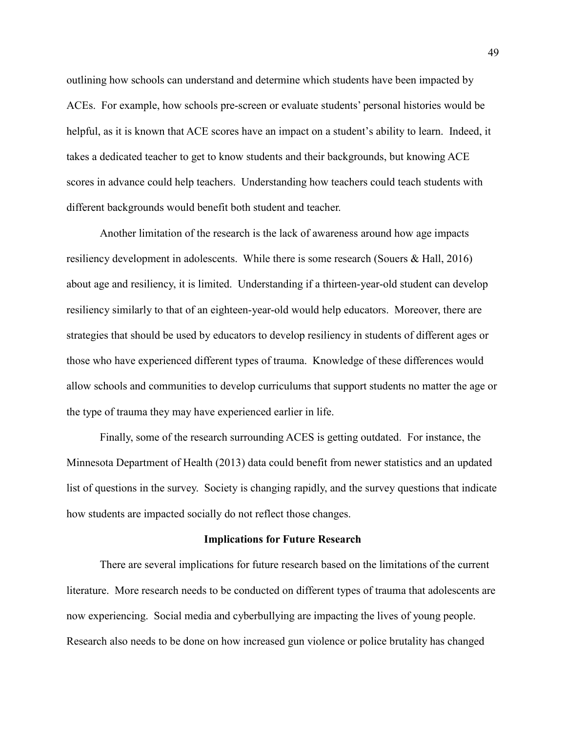outlining how schools can understand and determine which students have been impacted by ACEs. For example, how schools pre-screen or evaluate students' personal histories would be helpful, as it is known that ACE scores have an impact on a student's ability to learn. Indeed, it takes a dedicated teacher to get to know students and their backgrounds, but knowing ACE scores in advance could help teachers. Understanding how teachers could teach students with different backgrounds would benefit both student and teacher.

Another limitation of the research is the lack of awareness around how age impacts resiliency development in adolescents. While there is some research (Souers & Hall, 2016) about age and resiliency, it is limited. Understanding if a thirteen-year-old student can develop resiliency similarly to that of an eighteen-year-old would help educators. Moreover, there are strategies that should be used by educators to develop resiliency in students of different ages or those who have experienced different types of trauma. Knowledge of these differences would allow schools and communities to develop curriculums that support students no matter the age or the type of trauma they may have experienced earlier in life.

Finally, some of the research surrounding ACES is getting outdated. For instance, the Minnesota Department of Health (2013) data could benefit from newer statistics and an updated list of questions in the survey. Society is changing rapidly, and the survey questions that indicate how students are impacted socially do not reflect those changes.

#### **Implications for Future Research**

<span id="page-49-0"></span>There are several implications for future research based on the limitations of the current literature. More research needs to be conducted on different types of trauma that adolescents are now experiencing. Social media and cyberbullying are impacting the lives of young people. Research also needs to be done on how increased gun violence or police brutality has changed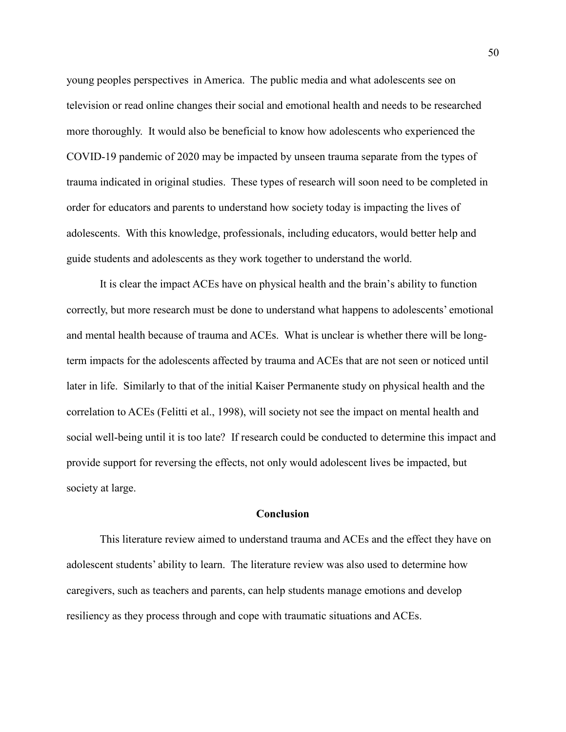young peoples perspectives in America. The public media and what adolescents see on television or read online changes their social and emotional health and needs to be researched more thoroughly. It would also be beneficial to know how adolescents who experienced the COVID-19 pandemic of 2020 may be impacted by unseen trauma separate from the types of trauma indicated in original studies. These types of research will soon need to be completed in order for educators and parents to understand how society today is impacting the lives of adolescents. With this knowledge, professionals, including educators, would better help and guide students and adolescents as they work together to understand the world.

It is clear the impact ACEs have on physical health and the brain's ability to function correctly, but more research must be done to understand what happens to adolescents' emotional and mental health because of trauma and ACEs. What is unclear is whether there will be longterm impacts for the adolescents affected by trauma and ACEs that are not seen or noticed until later in life. Similarly to that of the initial Kaiser Permanente study on physical health and the correlation to ACEs (Felitti et al., 1998), will society not see the impact on mental health and social well-being until it is too late? If research could be conducted to determine this impact and provide support for reversing the effects, not only would adolescent lives be impacted, but society at large.

# **Conclusion**

<span id="page-50-0"></span>This literature review aimed to understand trauma and ACEs and the effect they have on adolescent students' ability to learn. The literature review was also used to determine how caregivers, such as teachers and parents, can help students manage emotions and develop resiliency as they process through and cope with traumatic situations and ACEs.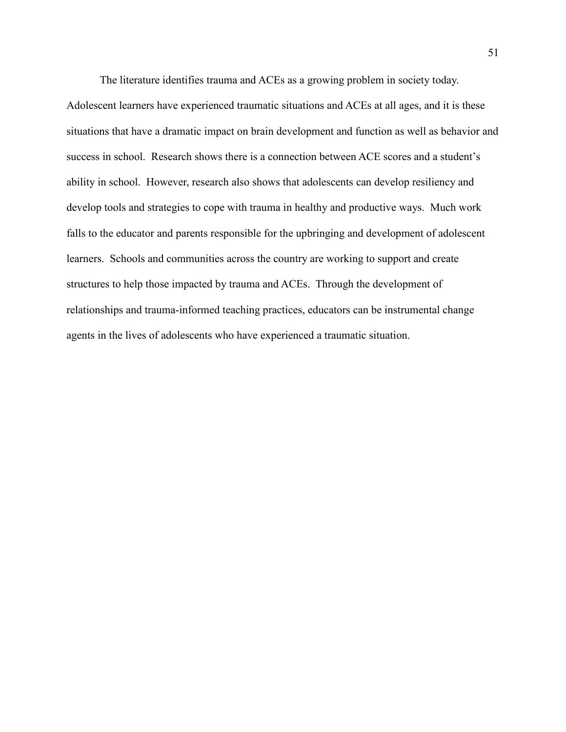The literature identifies trauma and ACEs as a growing problem in society today. Adolescent learners have experienced traumatic situations and ACEs at all ages, and it is these situations that have a dramatic impact on brain development and function as well as behavior and success in school. Research shows there is a connection between ACE scores and a student's ability in school. However, research also shows that adolescents can develop resiliency and develop tools and strategies to cope with trauma in healthy and productive ways. Much work falls to the educator and parents responsible for the upbringing and development of adolescent learners. Schools and communities across the country are working to support and create structures to help those impacted by trauma and ACEs. Through the development of relationships and trauma-informed teaching practices, educators can be instrumental change agents in the lives of adolescents who have experienced a traumatic situation.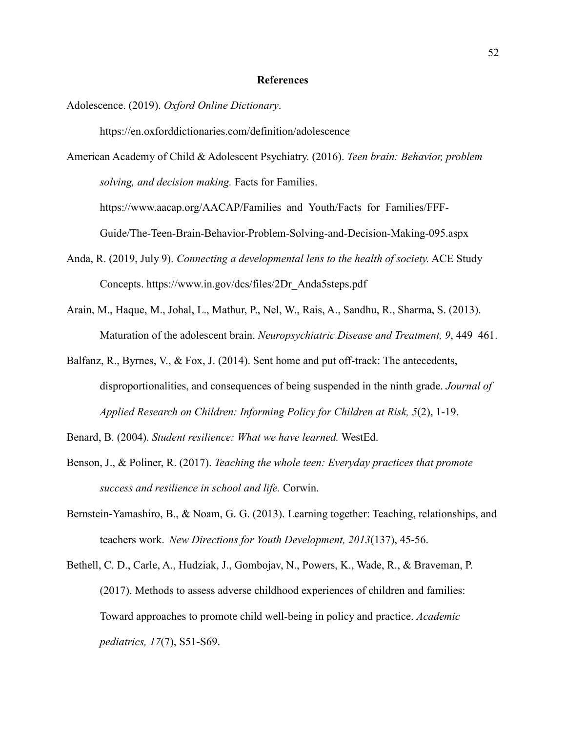#### **References**

Adolescence. (2019). *Oxford Online Dictionary*.

https://en.oxforddictionaries.com/definition/adolescence

American Academy of Child & Adolescent Psychiatry. (2016). *Teen brain: Behavior, problem solving, and decision making.* Facts for Families.

https://www.aacap.org/AACAP/Families and Youth/Facts for Families/FFF-

Guide/The-Teen-Brain-Behavior-Problem-Solving-and-Decision-Making-095.aspx

- Anda, R. (2019, July 9). *Connecting a developmental lens to the health of society.* ACE Study Concepts. https://www.in.gov/dcs/files/2Dr\_Anda5steps.pdf
- Arain, M., Haque, M., Johal, L., Mathur, P., Nel, W., Rais, A., Sandhu, R., Sharma, S. (2013). Maturation of the adolescent brain. *Neuropsychiatric Disease and Treatment, 9*, 449–461.
- Balfanz, R., Byrnes, V., & Fox, J. (2014). Sent home and put off-track: The antecedents, disproportionalities, and consequences of being suspended in the ninth grade. *Journal of Applied Research on Children: Informing Policy for Children at Risk, 5*(2), 1-19.

Benard, B. (2004). *Student resilience: What we have learned.* WestEd.

- Benson, J., & Poliner, R. (2017). *Teaching the whole teen: Everyday practices that promote success and resilience in school and life.* Corwin.
- Bernstein-Yamashiro, B., & Noam, G. G. (2013). Learning together: Teaching, relationships, and teachers work. *New Directions for Youth Development, 2013*(137), 45-56.
- Bethell, C. D., Carle, A., Hudziak, J., Gombojav, N., Powers, K., Wade, R., & Braveman, P. (2017). Methods to assess adverse childhood experiences of children and families: Toward approaches to promote child well-being in policy and practice. *Academic pediatrics, 17*(7), S51-S69.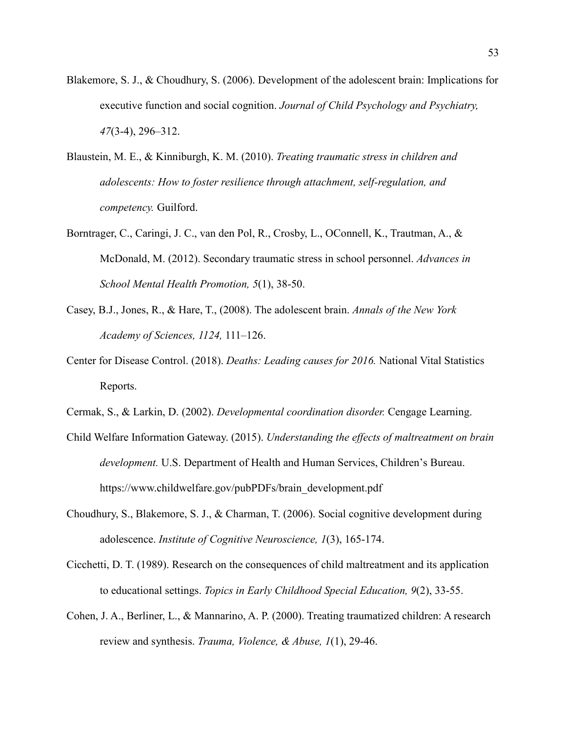- Blakemore, S. J., & Choudhury, S. (2006). Development of the adolescent brain: Implications for executive function and social cognition. *Journal of Child Psychology and Psychiatry, 47*(3-4), 296–312.
- Blaustein, M. E., & Kinniburgh, K. M. (2010). *Treating traumatic stress in children and adolescents: How to foster resilience through attachment, self-regulation, and competency.* Guilford.
- Borntrager, C., Caringi, J. C., van den Pol, R., Crosby, L., OConnell, K., Trautman, A., & McDonald, M. (2012). Secondary traumatic stress in school personnel. *Advances in School Mental Health Promotion, 5*(1), 38-50.
- Casey, B.J., Jones, R., & Hare, T., (2008). The adolescent brain. *Annals of the New York Academy of Sciences, 1124,* 111–126.
- Center for Disease Control. (2018). *Deaths: Leading causes for 2016.* National Vital Statistics Reports.
- Cermak, S., & Larkin, D. (2002). *Developmental coordination disorder.* Cengage Learning.
- Child Welfare Information Gateway. (2015). *Understanding the effects of maltreatment on brain development.* U.S. Department of Health and Human Services, Children's Bureau. https://www.childwelfare.gov/pubPDFs/brain\_development.pdf
- Choudhury, S., Blakemore, S. J., & Charman, T. (2006). Social cognitive development during adolescence. *Institute of Cognitive Neuroscience, 1*(3), 165-174.
- Cicchetti, D. T. (1989). Research on the consequences of child maltreatment and its application to educational settings. *Topics in Early Childhood Special Education, 9*(2), 33-55.
- Cohen, J. A., Berliner, L., & Mannarino, A. P. (2000). Treating traumatized children: A research review and synthesis. *Trauma, Violence, & Abuse, 1*(1), 29-46.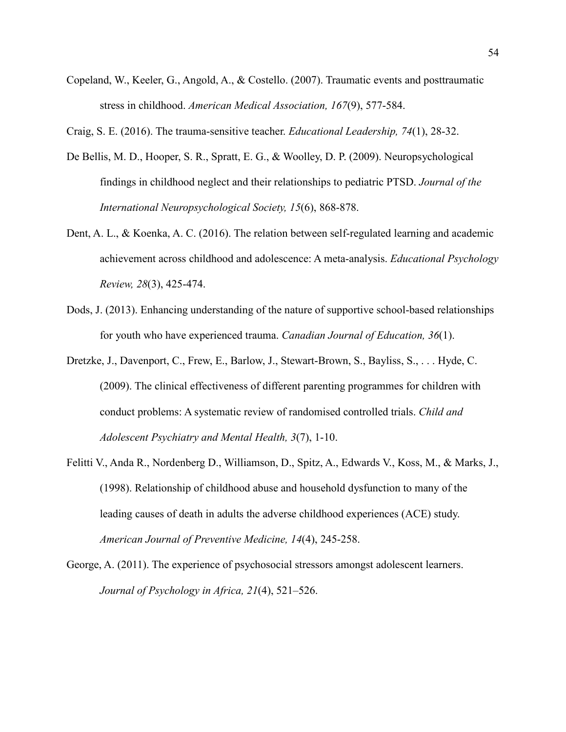Copeland, W., Keeler, G., Angold, A., & Costello. (2007). Traumatic events and posttraumatic stress in childhood. *American Medical Association, 167*(9), 577-584.

Craig, S. E. (2016). The trauma-sensitive teacher. *Educational Leadership, 74*(1), 28-32.

- De Bellis, M. D., Hooper, S. R., Spratt, E. G., & Woolley, D. P. (2009). Neuropsychological findings in childhood neglect and their relationships to pediatric PTSD. *Journal of the International Neuropsychological Society, 15*(6), 868-878.
- Dent, A. L., & Koenka, A. C. (2016). The relation between self-regulated learning and academic achievement across childhood and adolescence: A meta-analysis. *Educational Psychology Review, 28*(3), 425-474.
- Dods, J. (2013). Enhancing understanding of the nature of supportive school-based relationships for youth who have experienced trauma. *Canadian Journal of Education, 36*(1).
- Dretzke, J., Davenport, C., Frew, E., Barlow, J., Stewart-Brown, S., Bayliss, S., . . . Hyde, C. (2009). The clinical effectiveness of different parenting programmes for children with conduct problems: A systematic review of randomised controlled trials. *Child and Adolescent Psychiatry and Mental Health, 3*(7), 1-10.
- Felitti V., Anda R., Nordenberg D., Williamson, D., Spitz, A., Edwards V., Koss, M., & Marks, J., (1998). Relationship of childhood abuse and household dysfunction to many of the leading causes of death in adults the adverse childhood experiences (ACE) study. *American Journal of Preventive Medicine, 14*(4), 245-258.
- George, A. (2011). The experience of psychosocial stressors amongst adolescent learners. *Journal of Psychology in Africa, 21*(4), 521–526.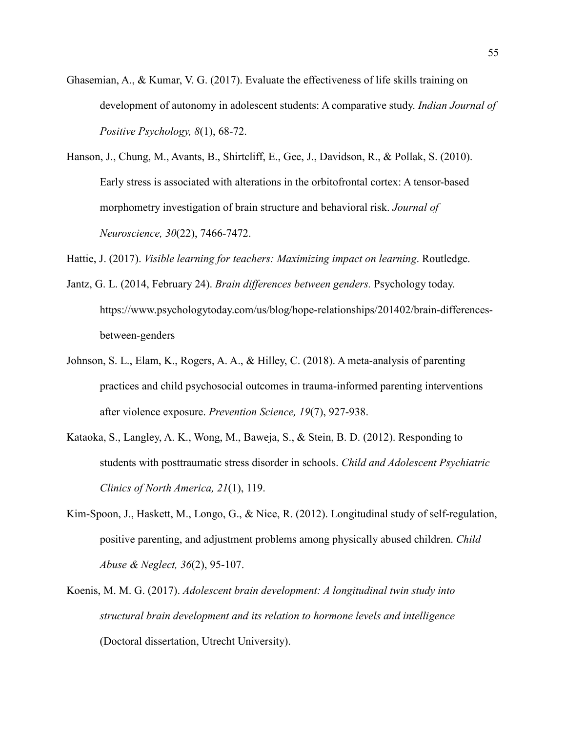- Ghasemian, A., & Kumar, V. G. (2017). Evaluate the effectiveness of life skills training on development of autonomy in adolescent students: A comparative study. *Indian Journal of Positive Psychology, 8*(1), 68-72.
- Hanson, J., Chung, M., Avants, B., Shirtcliff, E., Gee, J., Davidson, R., & Pollak, S. (2010). Early stress is associated with alterations in the orbitofrontal cortex: A tensor-based morphometry investigation of brain structure and behavioral risk. *Journal of Neuroscience, 30*(22), 7466-7472.
- Hattie, J. (2017). *Visible learning for teachers: Maximizing impact on learning*. Routledge.
- Jantz, G. L. (2014, February 24). *Brain differences between genders.* Psychology today. https://www.psychologytoday.com/us/blog/hope-relationships/201402/brain-differencesbetween-genders
- Johnson, S. L., Elam, K., Rogers, A. A., & Hilley, C. (2018). A meta-analysis of parenting practices and child psychosocial outcomes in trauma-informed parenting interventions after violence exposure. *Prevention Science, 19*(7), 927-938.
- Kataoka, S., Langley, A. K., Wong, M., Baweja, S., & Stein, B. D. (2012). Responding to students with posttraumatic stress disorder in schools. *Child and Adolescent Psychiatric Clinics of North America, 21*(1), 119.
- Kim-Spoon, J., Haskett, M., Longo, G., & Nice, R. (2012). Longitudinal study of self-regulation, positive parenting, and adjustment problems among physically abused children. *Child Abuse & Neglect, 36*(2), 95-107.
- Koenis, M. M. G. (2017). *Adolescent brain development: A longitudinal twin study into structural brain development and its relation to hormone levels and intelligence* (Doctoral dissertation, Utrecht University).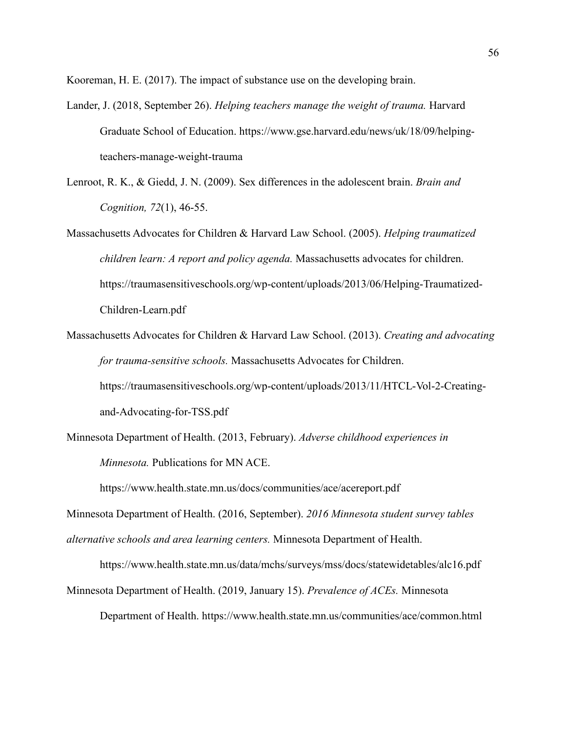Kooreman, H. E. (2017). The impact of substance use on the developing brain.

- Lander, J. (2018, September 26). *Helping teachers manage the weight of trauma.* Harvard Graduate School of Education. https://www.gse.harvard.edu/news/uk/18/09/helpingteachers-manage-weight-trauma
- Lenroot, R. K., & Giedd, J. N. (2009). Sex differences in the adolescent brain. *Brain and Cognition, 72*(1), 46-55.
- Massachusetts Advocates for Children & Harvard Law School. (2005). *Helping traumatized children learn: A report and policy agenda.* Massachusetts advocates for children. https://traumasensitiveschools.org/wp-content/uploads/2013/06/Helping-Traumatized-Children-Learn.pdf
- Massachusetts Advocates for Children & Harvard Law School. (2013). *Creating and advocating for trauma-sensitive schools.* Massachusetts Advocates for Children. https://traumasensitiveschools.org/wp-content/uploads/2013/11/HTCL-Vol-2-Creatingand-Advocating-for-TSS.pdf
- Minnesota Department of Health. (2013, February). *Adverse childhood experiences in Minnesota.* Publications for MN ACE.

https://www.health.state.mn.us/docs/communities/ace/acereport.pdf

Minnesota Department of Health. (2016, September). *2016 Minnesota student survey tables alternative schools and area learning centers.* Minnesota Department of Health.

https://www.health.state.mn.us/data/mchs/surveys/mss/docs/statewidetables/alc16.pdf

Minnesota Department of Health. (2019, January 15). *Prevalence of ACEs.* Minnesota

Department of Health. https://www.health.state.mn.us/communities/ace/common.html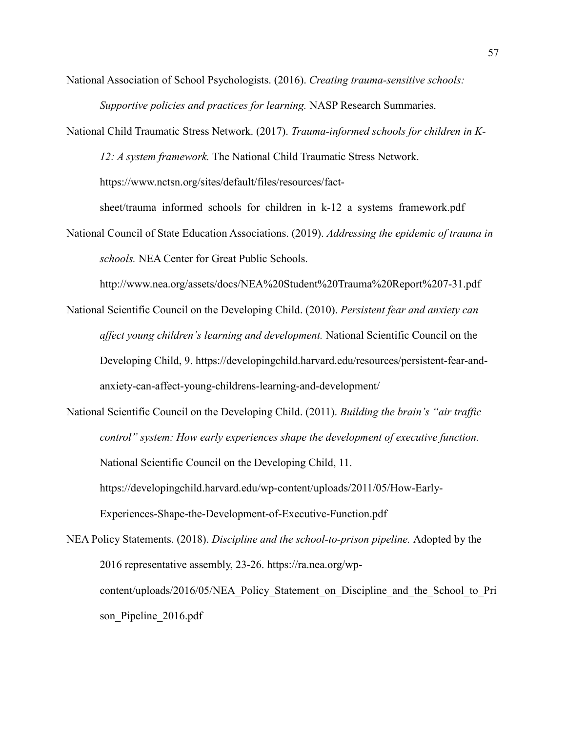National Association of School Psychologists. (2016). *Creating trauma-sensitive schools: Supportive policies and practices for learning.* NASP Research Summaries.

National Child Traumatic Stress Network. (2017). *Trauma-informed schools for children in K-12: A system framework.* The National Child Traumatic Stress Network. https://www.nctsn.org/sites/default/files/resources/fact-

sheet/trauma\_informed\_schools\_for\_children\_in\_k-12\_a\_systems\_framework.pdf

National Council of State Education Associations. (2019). *Addressing the epidemic of trauma in schools.* NEA Center for Great Public Schools.

http://www.nea.org/assets/docs/NEA%20Student%20Trauma%20Report%207-31.pdf

National Scientific Council on the Developing Child. (2010). *Persistent fear and anxiety can affect young children's learning and development.* National Scientific Council on the Developing Child, 9. https://developingchild.harvard.edu/resources/persistent-fear-andanxiety-can-affect-young-childrens-learning-and-development/

National Scientific Council on the Developing Child. (2011). *Building the brain's "air traffic control" system: How early experiences shape the development of executive function.*  National Scientific Council on the Developing Child, 11. https://developingchild.harvard.edu/wp-content/uploads/2011/05/How-Early-Experiences-Shape-the-Development-of-Executive-Function.pdf

NEA Policy Statements. (2018). *Discipline and the school-to-prison pipeline.* Adopted by the 2016 representative assembly, 23-26. https://ra.nea.org/wpcontent/uploads/2016/05/NEA\_Policy\_Statement\_on\_Discipline\_and\_the\_School\_to\_Pri son Pipeline 2016.pdf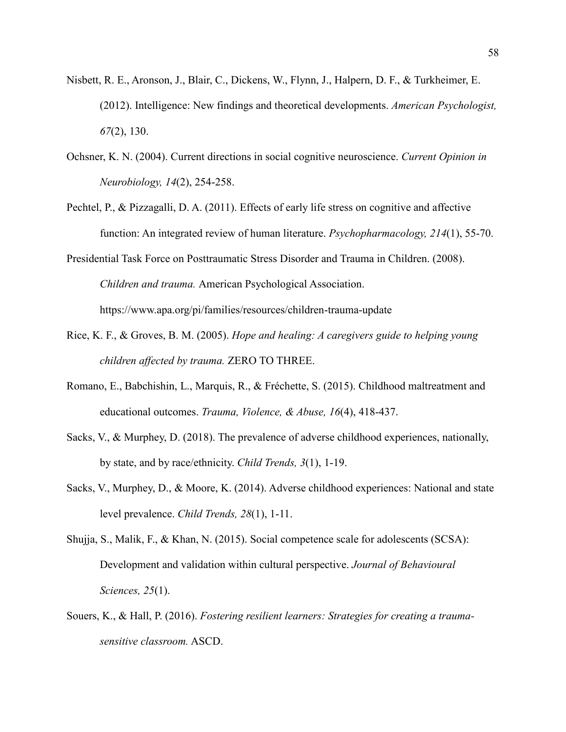- Nisbett, R. E., Aronson, J., Blair, C., Dickens, W., Flynn, J., Halpern, D. F., & Turkheimer, E. (2012). Intelligence: New findings and theoretical developments. *American Psychologist, 67*(2), 130.
- Ochsner, K. N. (2004). Current directions in social cognitive neuroscience. *Current Opinion in Neurobiology, 14*(2), 254-258.
- Pechtel, P., & Pizzagalli, D. A. (2011). Effects of early life stress on cognitive and affective function: An integrated review of human literature. *Psychopharmacology, 214*(1), 55-70.
- Presidential Task Force on Posttraumatic Stress Disorder and Trauma in Children. (2008). *Children and trauma.* American Psychological Association. https://www.apa.org/pi/families/resources/children-trauma-update
- Rice, K. F., & Groves, B. M. (2005). *Hope and healing: A caregivers guide to helping young children affected by trauma.* ZERO TO THREE.
- Romano, E., Babchishin, L., Marquis, R., & Fréchette, S. (2015). Childhood maltreatment and educational outcomes. *Trauma, Violence, & Abuse, 16*(4), 418-437.
- Sacks, V., & Murphey, D. (2018). The prevalence of adverse childhood experiences, nationally, by state, and by race/ethnicity. *Child Trends, 3*(1), 1-19.
- Sacks, V., Murphey, D., & Moore, K. (2014). Adverse childhood experiences: National and state level prevalence. *Child Trends, 28*(1), 1-11.
- Shujja, S., Malik, F., & Khan, N. (2015). Social competence scale for adolescents (SCSA): Development and validation within cultural perspective. *Journal of Behavioural Sciences, 25*(1).
- Souers, K., & Hall, P. (2016). *Fostering resilient learners: Strategies for creating a traumasensitive classroom.* ASCD.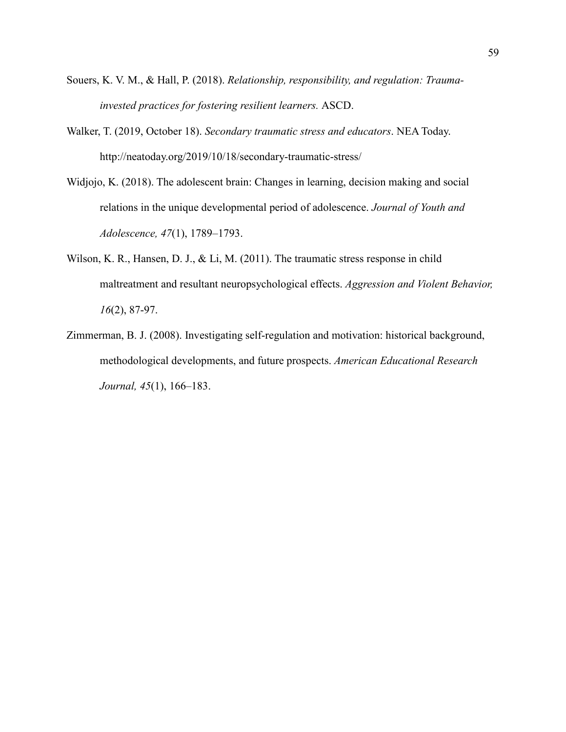- Souers, K. V. M., & Hall, P. (2018). *Relationship, responsibility, and regulation: Traumainvested practices for fostering resilient learners.* ASCD.
- Walker, T. (2019, October 18). *Secondary traumatic stress and educators*. NEA Today. http://neatoday.org/2019/10/18/secondary-traumatic-stress/
- Widjojo, K. (2018). The adolescent brain: Changes in learning, decision making and social relations in the unique developmental period of adolescence. *Journal of Youth and Adolescence, 47*(1), 1789–1793.
- Wilson, K. R., Hansen, D. J., & Li, M. (2011). The traumatic stress response in child maltreatment and resultant neuropsychological effects. *Aggression and Violent Behavior, 16*(2), 87-97.
- Zimmerman, B. J. (2008). Investigating self-regulation and motivation: historical background, methodological developments, and future prospects. *American Educational Research Journal, 45*(1), 166–183.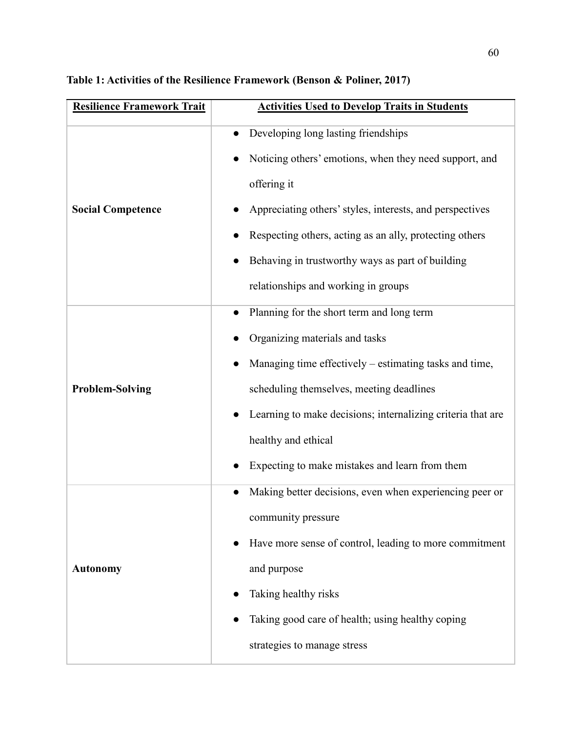| <b>Resilience Framework Trait</b> | <b>Activities Used to Develop Traits in Students</b>                                                                                                                                                                                                                                                                                        |
|-----------------------------------|---------------------------------------------------------------------------------------------------------------------------------------------------------------------------------------------------------------------------------------------------------------------------------------------------------------------------------------------|
| <b>Social Competence</b>          | Developing long lasting friendships<br>$\bullet$<br>Noticing others' emotions, when they need support, and<br>offering it<br>Appreciating others' styles, interests, and perspectives<br>Respecting others, acting as an ally, protecting others<br>Behaving in trustworthy ways as part of building<br>relationships and working in groups |
| <b>Problem-Solving</b>            | Planning for the short term and long term<br>Organizing materials and tasks<br>Managing time effectively – estimating tasks and time,<br>scheduling themselves, meeting deadlines<br>Learning to make decisions; internalizing criteria that are<br>healthy and ethical<br>Expecting to make mistakes and learn from them                   |
| <b>Autonomy</b>                   | Making better decisions, even when experiencing peer or<br>community pressure<br>Have more sense of control, leading to more commitment<br>and purpose<br>Taking healthy risks<br>Taking good care of health; using healthy coping<br>strategies to manage stress                                                                           |

# **Table 1: Activities of the Resilience Framework (Benson & Poliner, 2017)**